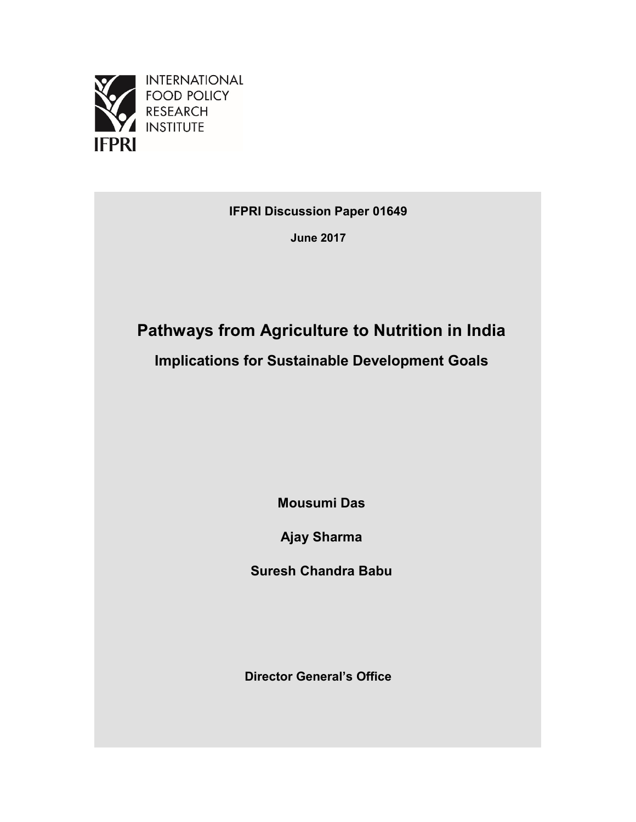

**INTERNATIONAL FOOD POLICY RESEARCH INSTITUTE** 

**IFPRI Discussion Paper 01649**

**June 2017**

# **Pathways from Agriculture to Nutrition in India**

**Implications for Sustainable Development Goals**

**Mousumi Das**

**Ajay Sharma**

**Suresh Chandra Babu**

**Director General's Office**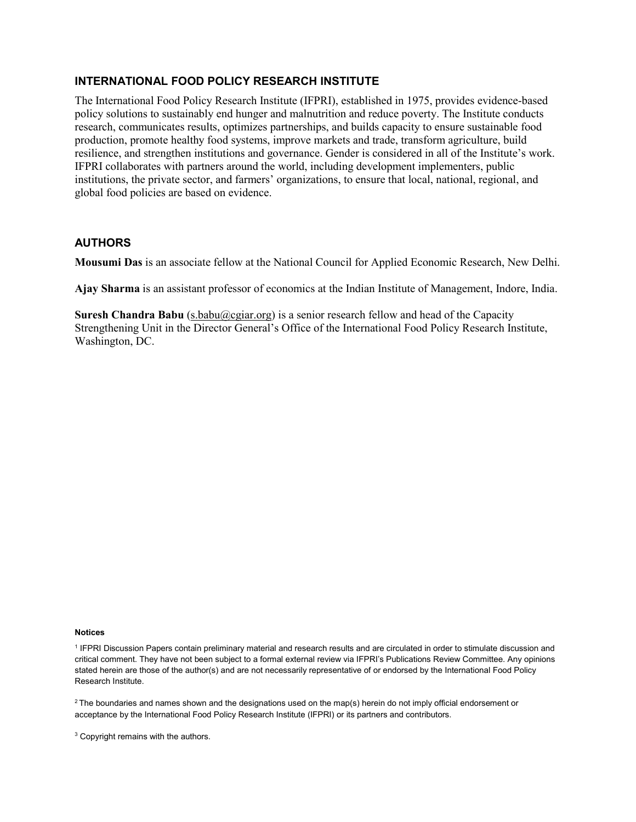## **INTERNATIONAL FOOD POLICY RESEARCH INSTITUTE**

The International Food Policy Research Institute (IFPRI), established in 1975, provides evidence-based policy solutions to sustainably end hunger and malnutrition and reduce poverty. The Institute conducts research, communicates results, optimizes partnerships, and builds capacity to ensure sustainable food production, promote healthy food systems, improve markets and trade, transform agriculture, build resilience, and strengthen institutions and governance. Gender is considered in all of the Institute's work. IFPRI collaborates with partners around the world, including development implementers, public institutions, the private sector, and farmers' organizations, to ensure that local, national, regional, and global food policies are based on evidence.

## **AUTHORS**

**Mousumi Das** is an associate fellow at the National Council for Applied Economic Research, New Delhi.

**Ajay Sharma** is an assistant professor of economics at the Indian Institute of Management, Indore, India.

**Suresh Chandra Babu** [\(s.babu@cgiar.org\)](mailto:s.babu@cgiar.org) is a senior research fellow and head of the Capacity Strengthening Unit in the Director General's Office of the International Food Policy Research Institute, Washington, DC.

## **Notices**

<sup>1</sup> IFPRI Discussion Papers contain preliminary material and research results and are circulated in order to stimulate discussion and critical comment. They have not been subject to a formal external review via IFPRI's Publications Review Committee. Any opinions stated herein are those of the author(s) and are not necessarily representative of or endorsed by the International Food Policy Research Institute.

 $2$  The boundaries and names shown and the designations used on the map(s) herein do not imply official endorsement or acceptance by the International Food Policy Research Institute (IFPRI) or its partners and contributors.

<sup>3</sup> Copyright remains with the authors.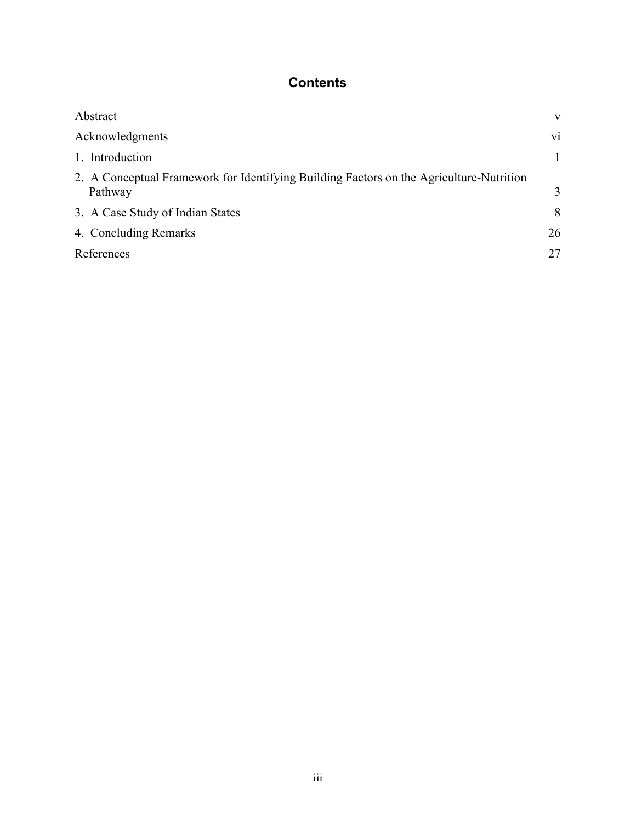## **Contents**

| Abstract                                                                                           | V            |
|----------------------------------------------------------------------------------------------------|--------------|
| Acknowledgments                                                                                    | vi           |
| 1. Introduction                                                                                    | $\mathbf{1}$ |
| 2. A Conceptual Framework for Identifying Building Factors on the Agriculture-Nutrition<br>Pathway | 3            |
| 3. A Case Study of Indian States                                                                   | 8            |
| 4. Concluding Remarks                                                                              | 26           |
| References                                                                                         | 27           |
|                                                                                                    |              |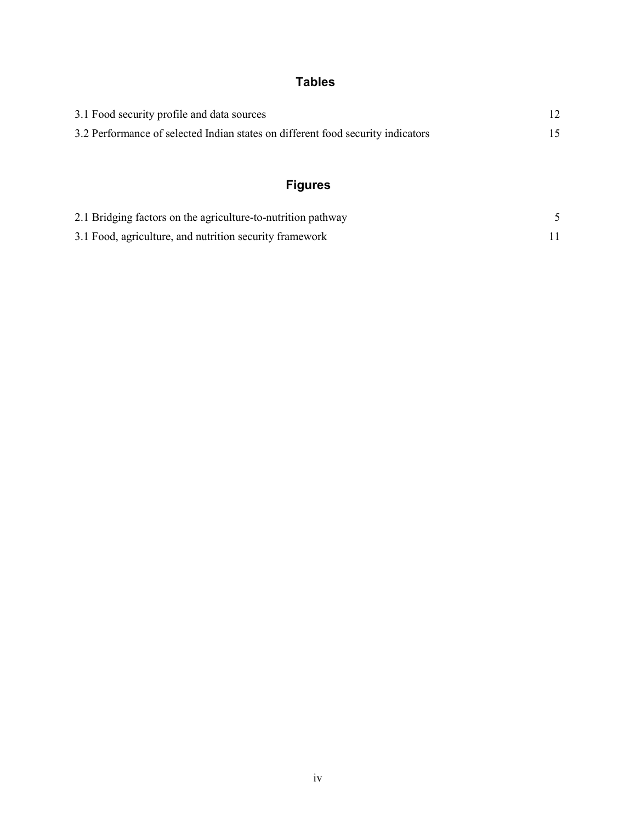## **Tables**

| 3.1 Food security profile and data sources                                      |  |
|---------------------------------------------------------------------------------|--|
| 3.2 Performance of selected Indian states on different food security indicators |  |

## **Figures**

| 2.1 Bridging factors on the agriculture-to-nutrition pathway |  |
|--------------------------------------------------------------|--|
| 3.1 Food, agriculture, and nutrition security framework      |  |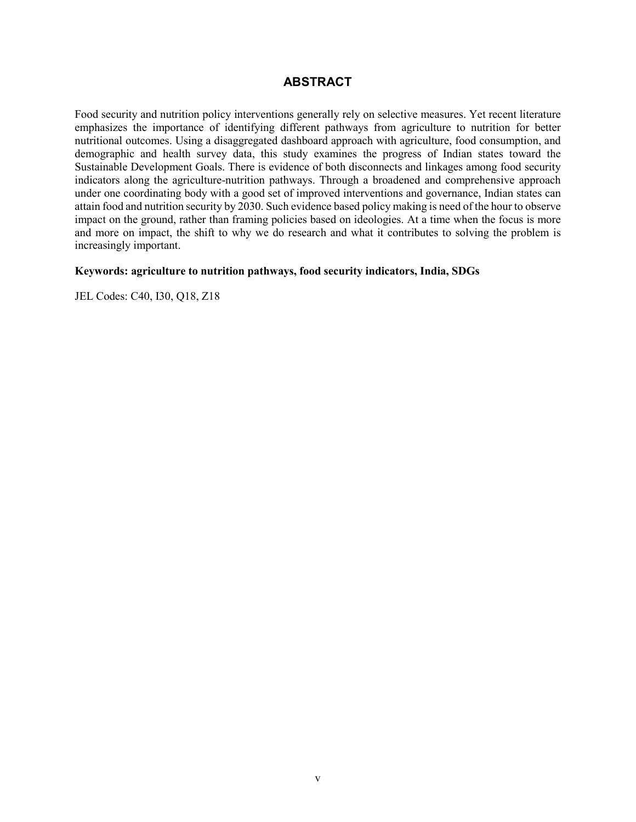## **ABSTRACT**

Food security and nutrition policy interventions generally rely on selective measures. Yet recent literature emphasizes the importance of identifying different pathways from agriculture to nutrition for better nutritional outcomes. Using a disaggregated dashboard approach with agriculture, food consumption, and demographic and health survey data, this study examines the progress of Indian states toward the Sustainable Development Goals. There is evidence of both disconnects and linkages among food security indicators along the agriculture-nutrition pathways. Through a broadened and comprehensive approach under one coordinating body with a good set of improved interventions and governance, Indian states can attain food and nutrition security by 2030. Such evidence based policy making is need of the hour to observe impact on the ground, rather than framing policies based on ideologies. At a time when the focus is more and more on impact, the shift to why we do research and what it contributes to solving the problem is increasingly important.

## **Keywords: agriculture to nutrition pathways, food security indicators, India, SDGs**

JEL Codes: C40, I30, Q18, Z18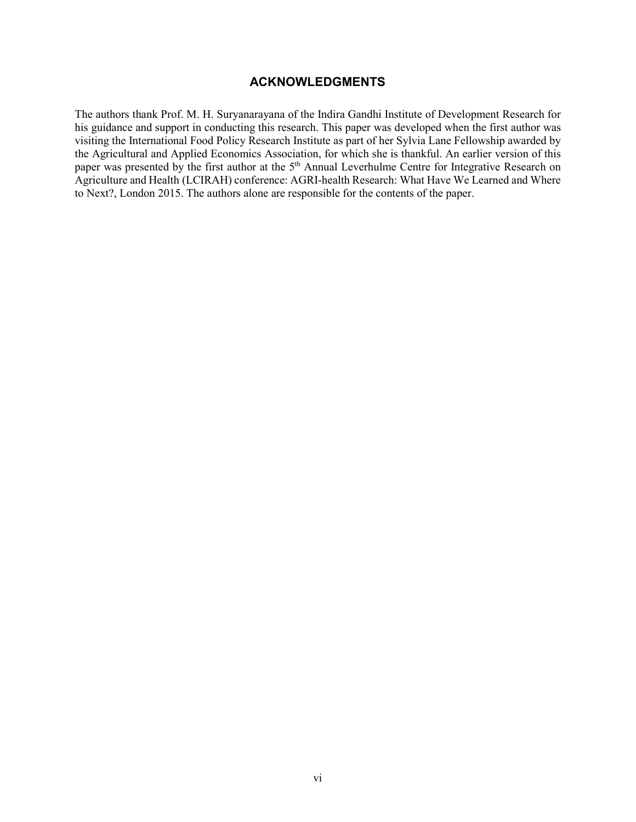## **ACKNOWLEDGMENTS**

The authors thank Prof. M. H. Suryanarayana of the Indira Gandhi Institute of Development Research for his guidance and support in conducting this research. This paper was developed when the first author was visiting the International Food Policy Research Institute as part of her Sylvia Lane Fellowship awarded by the Agricultural and Applied Economics Association, for which she is thankful. An earlier version of this paper was presented by the first author at the 5<sup>th</sup> Annual Leverhulme Centre for Integrative Research on Agriculture and Health (LCIRAH) conference: AGRI-health Research: What Have We Learned and Where to Next?, London 2015. The authors alone are responsible for the contents of the paper.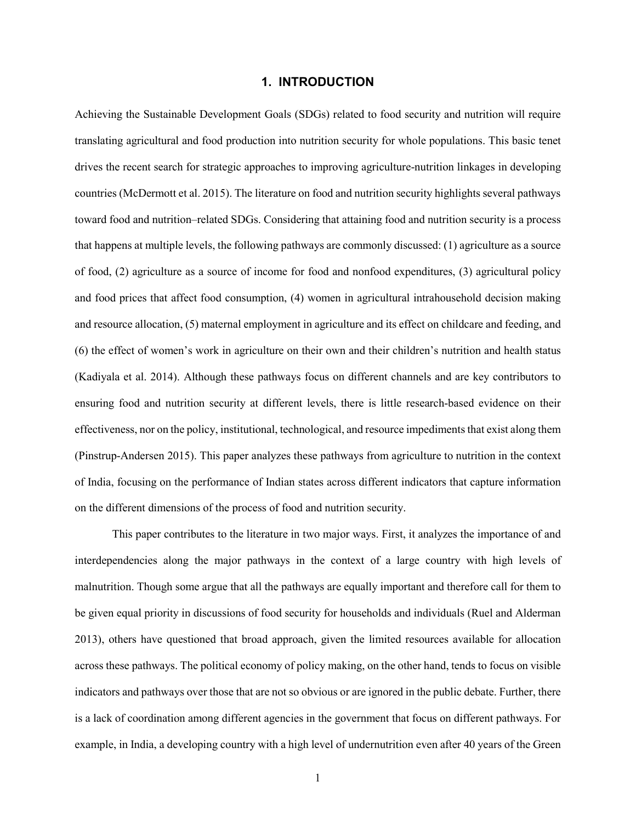## **1. INTRODUCTION**

Achieving the Sustainable Development Goals (SDGs) related to food security and nutrition will require translating agricultural and food production into nutrition security for whole populations. This basic tenet drives the recent search for strategic approaches to improving agriculture-nutrition linkages in developing countries (McDermott et al. 2015). The literature on food and nutrition security highlights several pathways toward food and nutrition–related SDGs. Considering that attaining food and nutrition security is a process that happens at multiple levels, the following pathways are commonly discussed: (1) agriculture as a source of food, (2) agriculture as a source of income for food and nonfood expenditures, (3) agricultural policy and food prices that affect food consumption, (4) women in agricultural intrahousehold decision making and resource allocation, (5) maternal employment in agriculture and its effect on childcare and feeding, and (6) the effect of women's work in agriculture on their own and their children's nutrition and health status (Kadiyala et al. 2014). Although these pathways focus on different channels and are key contributors to ensuring food and nutrition security at different levels, there is little research-based evidence on their effectiveness, nor on the policy, institutional, technological, and resource impediments that exist along them (Pinstrup-Andersen 2015). This paper analyzes these pathways from agriculture to nutrition in the context of India, focusing on the performance of Indian states across different indicators that capture information on the different dimensions of the process of food and nutrition security.

This paper contributes to the literature in two major ways. First, it analyzes the importance of and interdependencies along the major pathways in the context of a large country with high levels of malnutrition. Though some argue that all the pathways are equally important and therefore call for them to be given equal priority in discussions of food security for households and individuals (Ruel and Alderman 2013), others have questioned that broad approach, given the limited resources available for allocation across these pathways. The political economy of policy making, on the other hand, tends to focus on visible indicators and pathways over those that are not so obvious or are ignored in the public debate. Further, there is a lack of coordination among different agencies in the government that focus on different pathways. For example, in India, a developing country with a high level of undernutrition even after 40 years of the Green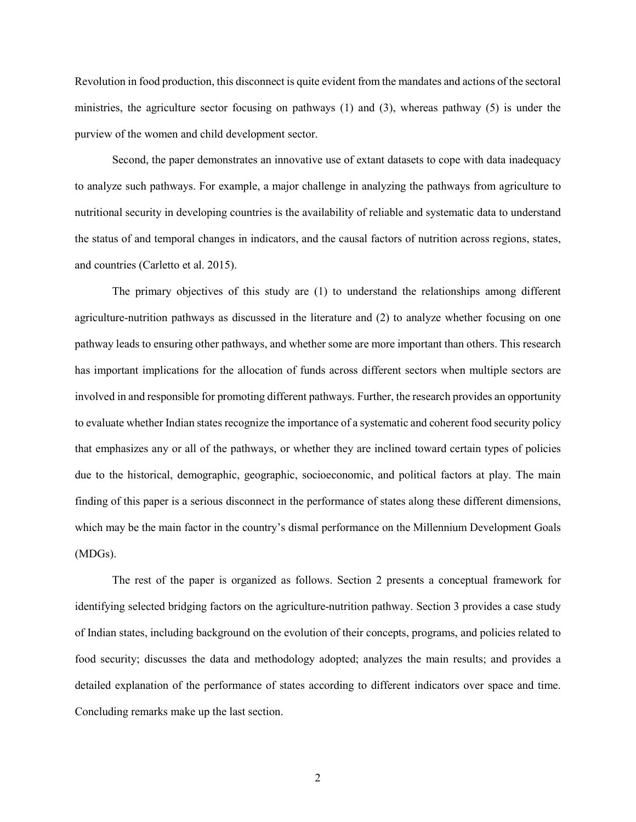Revolution in food production, this disconnect is quite evident from the mandates and actions of the sectoral ministries, the agriculture sector focusing on pathways (1) and (3), whereas pathway (5) is under the purview of the women and child development sector.

Second, the paper demonstrates an innovative use of extant datasets to cope with data inadequacy to analyze such pathways. For example, a major challenge in analyzing the pathways from agriculture to nutritional security in developing countries is the availability of reliable and systematic data to understand the status of and temporal changes in indicators, and the causal factors of nutrition across regions, states, and countries (Carletto et al. 2015).

The primary objectives of this study are (1) to understand the relationships among different agriculture-nutrition pathways as discussed in the literature and (2) to analyze whether focusing on one pathway leads to ensuring other pathways, and whether some are more important than others. This research has important implications for the allocation of funds across different sectors when multiple sectors are involved in and responsible for promoting different pathways. Further, the research provides an opportunity to evaluate whether Indian states recognize the importance of a systematic and coherent food security policy that emphasizes any or all of the pathways, or whether they are inclined toward certain types of policies due to the historical, demographic, geographic, socioeconomic, and political factors at play. The main finding of this paper is a serious disconnect in the performance of states along these different dimensions, which may be the main factor in the country's dismal performance on the Millennium Development Goals (MDGs).

The rest of the paper is organized as follows. Section 2 presents a conceptual framework for identifying selected bridging factors on the agriculture-nutrition pathway. Section 3 provides a case study of Indian states, including background on the evolution of their concepts, programs, and policies related to food security; discusses the data and methodology adopted; analyzes the main results; and provides a detailed explanation of the performance of states according to different indicators over space and time. Concluding remarks make up the last section.

2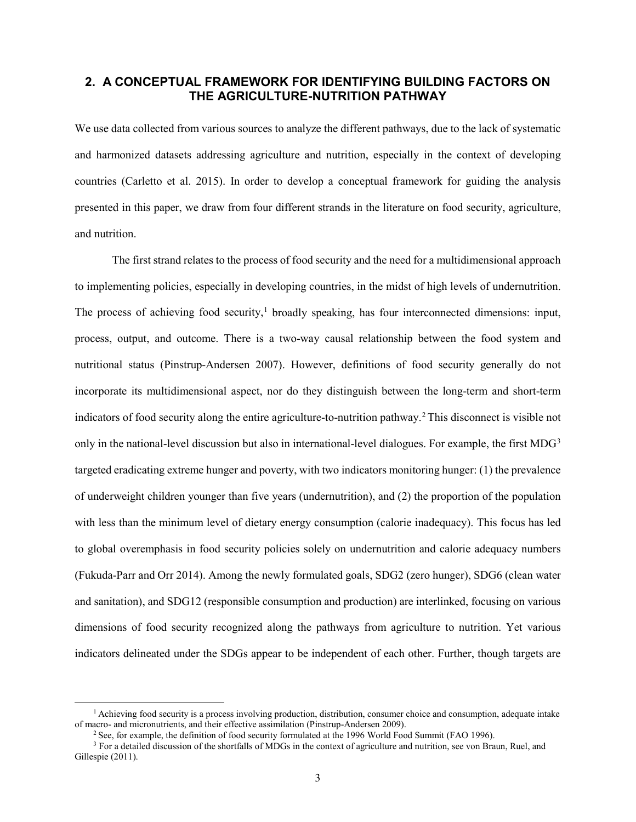## **2. A CONCEPTUAL FRAMEWORK FOR IDENTIFYING BUILDING FACTORS ON THE AGRICULTURE-NUTRITION PATHWAY**

We use data collected from various sources to analyze the different pathways, due to the lack of systematic and harmonized datasets addressing agriculture and nutrition, especially in the context of developing countries (Carletto et al. 2015). In order to develop a conceptual framework for guiding the analysis presented in this paper, we draw from four different strands in the literature on food security, agriculture, and nutrition.

The first strand relates to the process of food security and the need for a multidimensional approach to implementing policies, especially in developing countries, in the midst of high levels of undernutrition. The process of achieving food security, [1](#page-8-0) broadly speaking, has four interconnected dimensions: input, process, output, and outcome. There is a two-way causal relationship between the food system and nutritional status (Pinstrup-Andersen 2007). However, definitions of food security generally do not incorporate its multidimensional aspect, nor do they distinguish between the long-term and short-term indicators of food security along the entire agriculture-to-nutrition pathway.[2](#page-8-1) This disconnect is visible not only in the national-level discussion but also in international-level dialogues. For example, the first MDG<sup>[3](#page-8-2)</sup> targeted eradicating extreme hunger and poverty, with two indicators monitoring hunger: (1) the prevalence of underweight children younger than five years (undernutrition), and (2) the proportion of the population with less than the minimum level of dietary energy consumption (calorie inadequacy). This focus has led to global overemphasis in food security policies solely on undernutrition and calorie adequacy numbers (Fukuda-Parr and Orr 2014). Among the newly formulated goals, SDG2 (zero hunger), SDG6 (clean water and sanitation), and SDG12 (responsible consumption and production) are interlinked, focusing on various dimensions of food security recognized along the pathways from agriculture to nutrition. Yet various indicators delineated under the SDGs appear to be independent of each other. Further, though targets are

<span id="page-8-0"></span><sup>&</sup>lt;sup>1</sup> Achieving food security is a process involving production, distribution, consumer choice and consumption, adequate intake of macro- and micronutrients, and their effective assimilation (Pinstrup-Andersen 2009).

<sup>&</sup>lt;sup>2</sup> See, for example, the definition of food security formulated at the 1996 World Food Summit (FAO 1996).

<span id="page-8-2"></span><span id="page-8-1"></span><sup>&</sup>lt;sup>3</sup> For a detailed discussion of the shortfalls of MDGs in the context of agriculture and nutrition, see von Braun, Ruel, and Gillespie (2011).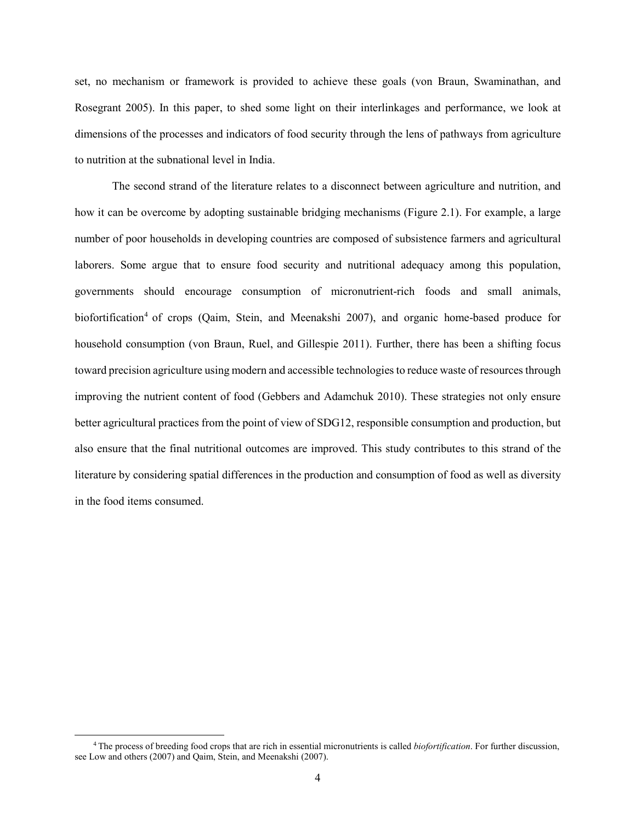set, no mechanism or framework is provided to achieve these goals (von Braun, Swaminathan, and Rosegrant 2005). In this paper, to shed some light on their interlinkages and performance, we look at dimensions of the processes and indicators of food security through the lens of pathways from agriculture to nutrition at the subnational level in India.

The second strand of the literature relates to a disconnect between agriculture and nutrition, and how it can be overcome by adopting sustainable bridging mechanisms (Figure 2.1). For example, a large number of poor households in developing countries are composed of subsistence farmers and agricultural laborers. Some argue that to ensure food security and nutritional adequacy among this population, governments should encourage consumption of micronutrient-rich foods and small animals, biofortification<sup>[4](#page-9-0)</sup> of crops (Qaim, Stein, and Meenakshi 2007), and organic home-based produce for household consumption (von Braun, Ruel, and Gillespie 2011). Further, there has been a shifting focus toward precision agriculture using modern and accessible technologies to reduce waste of resources through improving the nutrient content of food (Gebbers and Adamchuk 2010). These strategies not only ensure better agricultural practices from the point of view of SDG12, responsible consumption and production, but also ensure that the final nutritional outcomes are improved. This study contributes to this strand of the literature by considering spatial differences in the production and consumption of food as well as diversity in the food items consumed.

<span id="page-9-0"></span> <sup>4</sup> The process of breeding food crops that are rich in essential micronutrients is called *biofortification*. For further discussion, see Low and others (2007) and Qaim, Stein, and Meenakshi (2007).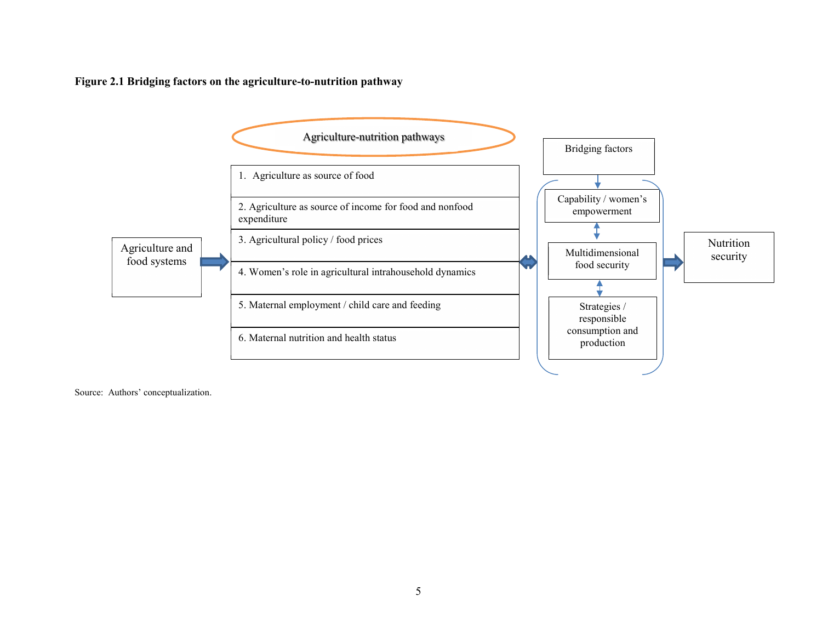**Figure 2.1 Bridging factors on the agriculture-to-nutrition pathway** 



Source: Authors' conceptualization.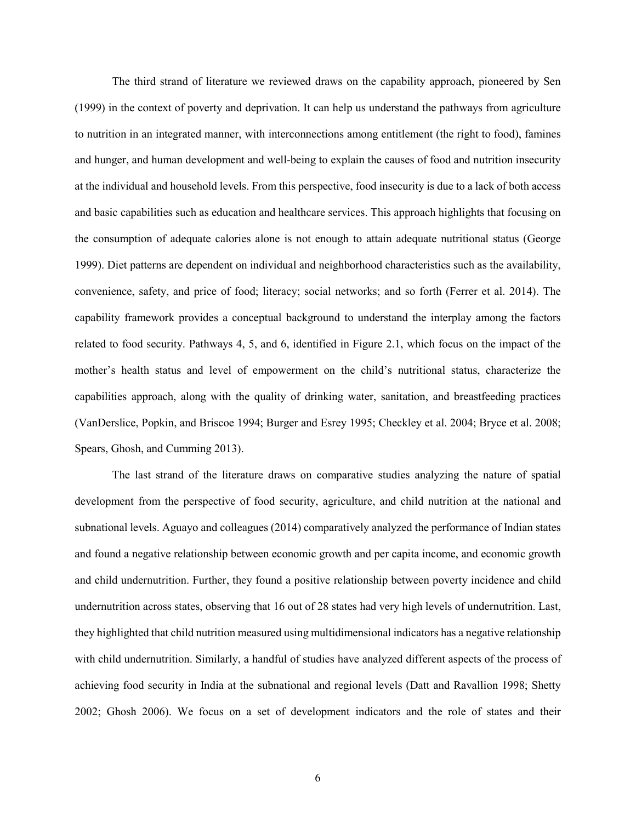The third strand of literature we reviewed draws on the capability approach, pioneered by Sen (1999) in the context of poverty and deprivation. It can help us understand the pathways from agriculture to nutrition in an integrated manner, with interconnections among entitlement (the right to food), famines and hunger, and human development and well-being to explain the causes of food and nutrition insecurity at the individual and household levels. From this perspective, food insecurity is due to a lack of both access and basic capabilities such as education and healthcare services. This approach highlights that focusing on the consumption of adequate calories alone is not enough to attain adequate nutritional status (George 1999). Diet patterns are dependent on individual and neighborhood characteristics such as the availability, convenience, safety, and price of food; literacy; social networks; and so forth (Ferrer et al. 2014). The capability framework provides a conceptual background to understand the interplay among the factors related to food security. Pathways 4, 5, and 6, identified in Figure 2.1, which focus on the impact of the mother's health status and level of empowerment on the child's nutritional status, characterize the capabilities approach, along with the quality of drinking water, sanitation, and breastfeeding practices (VanDerslice, Popkin, and Briscoe 1994; Burger and Esrey 1995; Checkley et al. 2004; Bryce et al. 2008; Spears, Ghosh, and Cumming 2013).

The last strand of the literature draws on comparative studies analyzing the nature of spatial development from the perspective of food security, agriculture, and child nutrition at the national and subnational levels. Aguayo and colleagues (2014) comparatively analyzed the performance of Indian states and found a negative relationship between economic growth and per capita income, and economic growth and child undernutrition. Further, they found a positive relationship between poverty incidence and child undernutrition across states, observing that 16 out of 28 states had very high levels of undernutrition. Last, they highlighted that child nutrition measured using multidimensional indicators has a negative relationship with child undernutrition. Similarly, a handful of studies have analyzed different aspects of the process of achieving food security in India at the subnational and regional levels (Datt and Ravallion 1998; Shetty 2002; Ghosh 2006). We focus on a set of development indicators and the role of states and their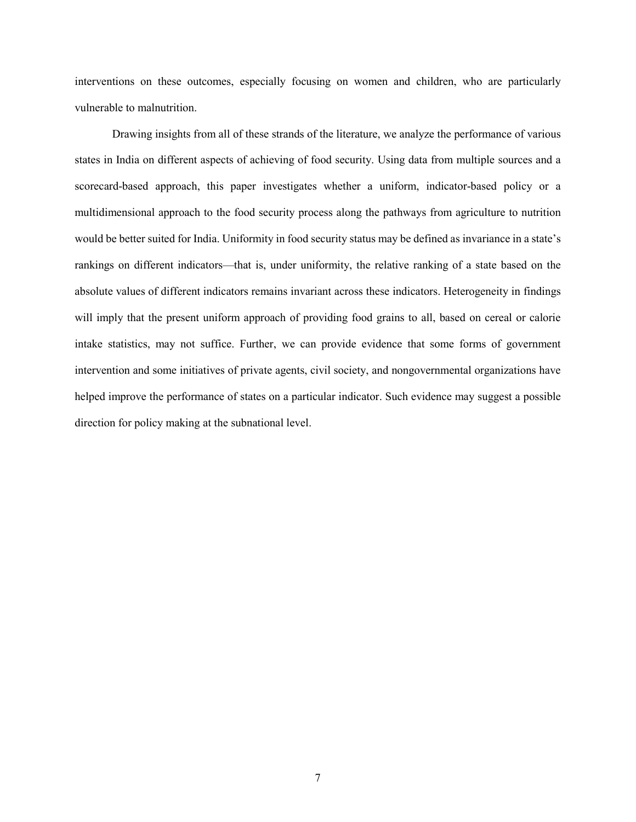interventions on these outcomes, especially focusing on women and children, who are particularly vulnerable to malnutrition.

Drawing insights from all of these strands of the literature, we analyze the performance of various states in India on different aspects of achieving of food security. Using data from multiple sources and a scorecard-based approach, this paper investigates whether a uniform, indicator-based policy or a multidimensional approach to the food security process along the pathways from agriculture to nutrition would be better suited for India. Uniformity in food security status may be defined as invariance in a state's rankings on different indicators—that is, under uniformity, the relative ranking of a state based on the absolute values of different indicators remains invariant across these indicators. Heterogeneity in findings will imply that the present uniform approach of providing food grains to all, based on cereal or calorie intake statistics, may not suffice. Further, we can provide evidence that some forms of government intervention and some initiatives of private agents, civil society, and nongovernmental organizations have helped improve the performance of states on a particular indicator. Such evidence may suggest a possible direction for policy making at the subnational level.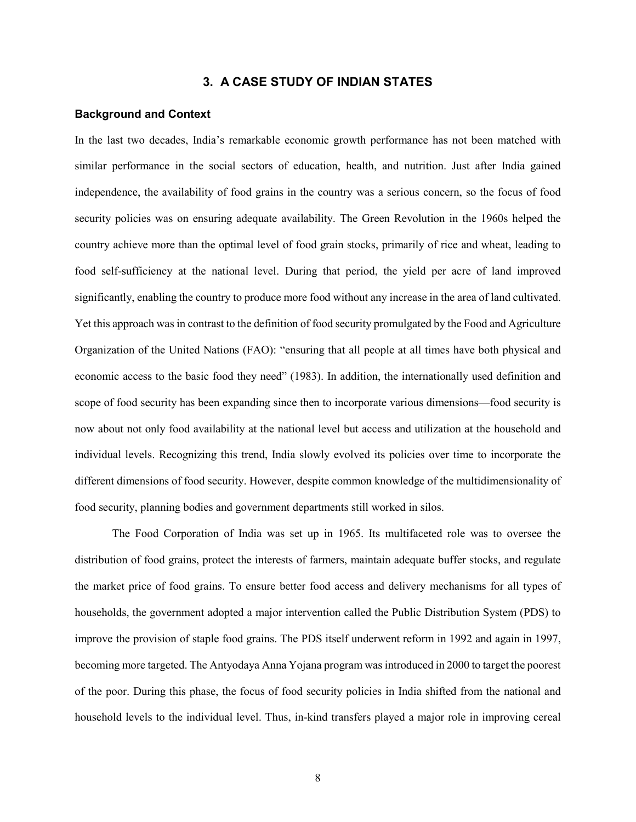## **3. A CASE STUDY OF INDIAN STATES**

#### **Background and Context**

In the last two decades, India's remarkable economic growth performance has not been matched with similar performance in the social sectors of education, health, and nutrition. Just after India gained independence, the availability of food grains in the country was a serious concern, so the focus of food security policies was on ensuring adequate availability. The Green Revolution in the 1960s helped the country achieve more than the optimal level of food grain stocks, primarily of rice and wheat, leading to food self-sufficiency at the national level. During that period, the yield per acre of land improved significantly, enabling the country to produce more food without any increase in the area of land cultivated. Yet this approach was in contrast to the definition of food security promulgated by the Food and Agriculture Organization of the United Nations (FAO): "ensuring that all people at all times have both physical and economic access to the basic food they need" (1983). In addition, the internationally used definition and scope of food security has been expanding since then to incorporate various dimensions—food security is now about not only food availability at the national level but access and utilization at the household and individual levels. Recognizing this trend, India slowly evolved its policies over time to incorporate the different dimensions of food security. However, despite common knowledge of the multidimensionality of food security, planning bodies and government departments still worked in silos.

The Food Corporation of India was set up in 1965. Its multifaceted role was to oversee the distribution of food grains, protect the interests of farmers, maintain adequate buffer stocks, and regulate the market price of food grains. To ensure better food access and delivery mechanisms for all types of households, the government adopted a major intervention called the Public Distribution System (PDS) to improve the provision of staple food grains. The PDS itself underwent reform in 1992 and again in 1997, becoming more targeted. The Antyodaya Anna Yojana program was introduced in 2000 to target the poorest of the poor. During this phase, the focus of food security policies in India shifted from the national and household levels to the individual level. Thus, in-kind transfers played a major role in improving cereal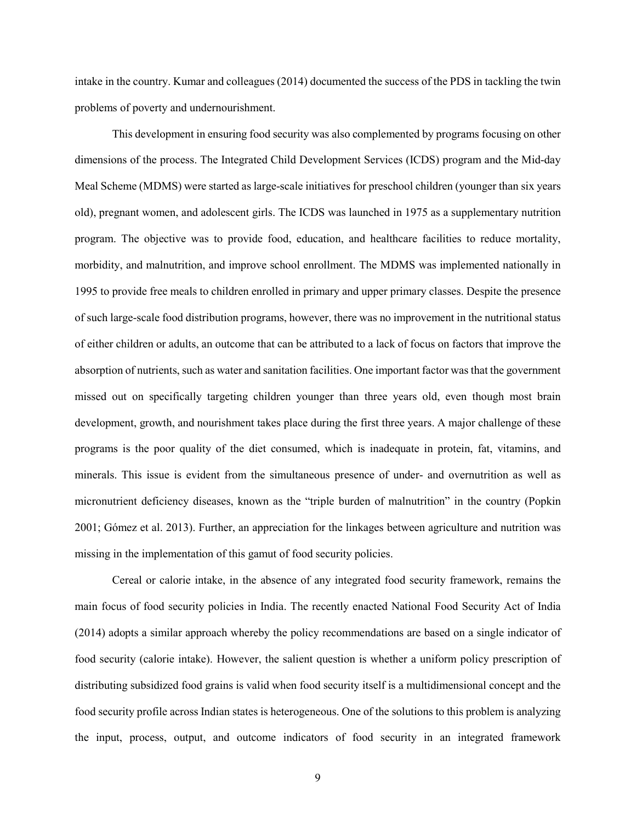intake in the country. Kumar and colleagues (2014) documented the success of the PDS in tackling the twin problems of poverty and undernourishment.

This development in ensuring food security was also complemented by programs focusing on other dimensions of the process. The Integrated Child Development Services (ICDS) program and the Mid-day Meal Scheme (MDMS) were started as large-scale initiatives for preschool children (younger than six years old), pregnant women, and adolescent girls. The ICDS was launched in 1975 as a supplementary nutrition program. The objective was to provide food, education, and healthcare facilities to reduce mortality, morbidity, and malnutrition, and improve school enrollment. The MDMS was implemented nationally in 1995 to provide free meals to children enrolled in primary and upper primary classes. Despite the presence of such large-scale food distribution programs, however, there was no improvement in the nutritional status of either children or adults, an outcome that can be attributed to a lack of focus on factors that improve the absorption of nutrients, such as water and sanitation facilities. One important factor was that the government missed out on specifically targeting children younger than three years old, even though most brain development, growth, and nourishment takes place during the first three years. A major challenge of these programs is the poor quality of the diet consumed, which is inadequate in protein, fat, vitamins, and minerals. This issue is evident from the simultaneous presence of under- and overnutrition as well as micronutrient deficiency diseases, known as the "triple burden of malnutrition" in the country (Popkin 2001; Gómez et al. 2013). Further, an appreciation for the linkages between agriculture and nutrition was missing in the implementation of this gamut of food security policies.

Cereal or calorie intake, in the absence of any integrated food security framework, remains the main focus of food security policies in India. The recently enacted National Food Security Act of India (2014) adopts a similar approach whereby the policy recommendations are based on a single indicator of food security (calorie intake). However, the salient question is whether a uniform policy prescription of distributing subsidized food grains is valid when food security itself is a multidimensional concept and the food security profile across Indian states is heterogeneous. One of the solutions to this problem is analyzing the input, process, output, and outcome indicators of food security in an integrated framework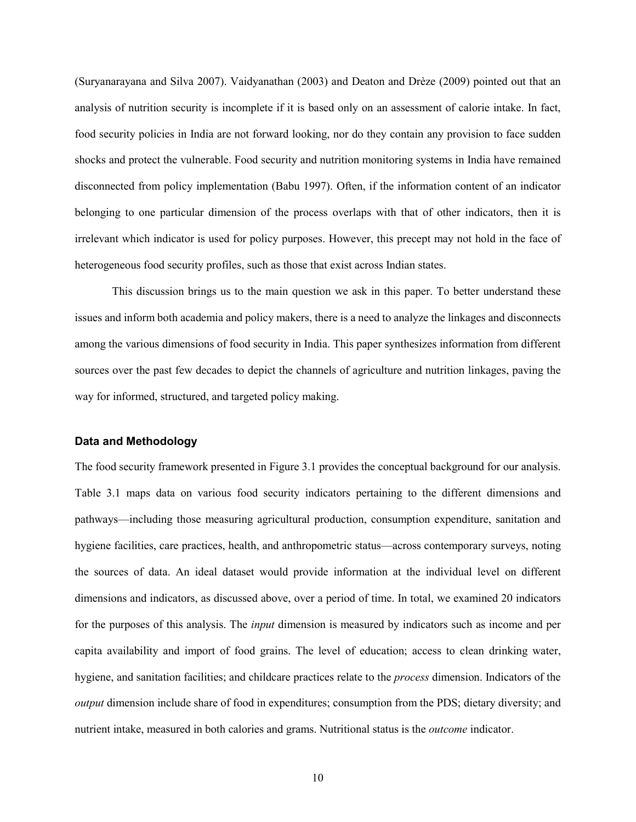(Suryanarayana and Silva 2007). Vaidyanathan (2003) and Deaton and Drèze (2009) pointed out that an analysis of nutrition security is incomplete if it is based only on an assessment of calorie intake. In fact, food security policies in India are not forward looking, nor do they contain any provision to face sudden shocks and protect the vulnerable. Food security and nutrition monitoring systems in India have remained disconnected from policy implementation (Babu 1997). Often, if the information content of an indicator belonging to one particular dimension of the process overlaps with that of other indicators, then it is irrelevant which indicator is used for policy purposes. However, this precept may not hold in the face of heterogeneous food security profiles, such as those that exist across Indian states.

This discussion brings us to the main question we ask in this paper. To better understand these issues and inform both academia and policy makers, there is a need to analyze the linkages and disconnects among the various dimensions of food security in India. This paper synthesizes information from different sources over the past few decades to depict the channels of agriculture and nutrition linkages, paving the way for informed, structured, and targeted policy making.

#### **Data and Methodology**

The food security framework presented in Figure 3.1 provides the conceptual background for our analysis. Table 3.1 maps data on various food security indicators pertaining to the different dimensions and pathways—including those measuring agricultural production, consumption expenditure, sanitation and hygiene facilities, care practices, health, and anthropometric status—across contemporary surveys, noting the sources of data. An ideal dataset would provide information at the individual level on different dimensions and indicators, as discussed above, over a period of time. In total, we examined 20 indicators for the purposes of this analysis. The *input* dimension is measured by indicators such as income and per capita availability and import of food grains. The level of education; access to clean drinking water, hygiene, and sanitation facilities; and childcare practices relate to the *process* dimension. Indicators of the *output* dimension include share of food in expenditures; consumption from the PDS; dietary diversity; and nutrient intake, measured in both calories and grams. Nutritional status is the *outcome* indicator.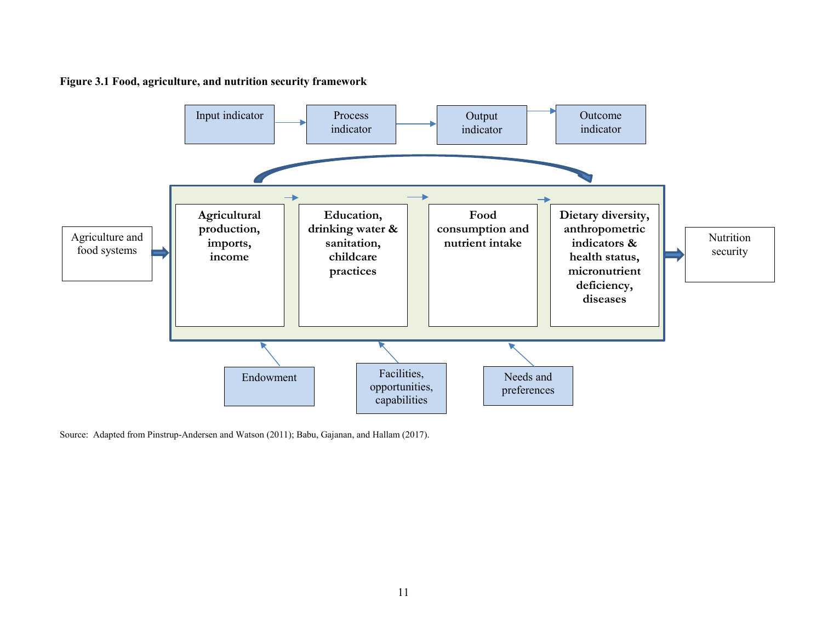

**Figure 3.1 Food, agriculture, and nutrition security framework**

Source: Adapted from Pinstrup-Andersen and Watson (2011); Babu, Gajanan, and Hallam (2017).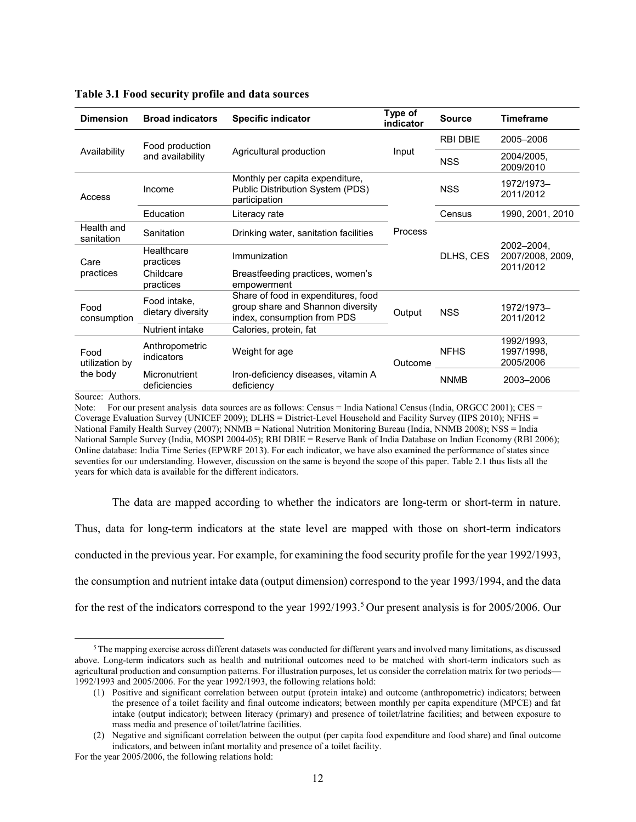| <b>Dimension</b>                   | <b>Broad indicators</b>           | <b>Specific indicator</b>                                                                               | Type of<br>indicator | <b>Source</b>   | <b>Timeframe</b>                            |  |
|------------------------------------|-----------------------------------|---------------------------------------------------------------------------------------------------------|----------------------|-----------------|---------------------------------------------|--|
|                                    | Food production                   |                                                                                                         |                      | <b>RBI DBIE</b> | 2005-2006                                   |  |
| Availability                       | and availability                  | Agricultural production                                                                                 | Input                | <b>NSS</b>      | 2004/2005,<br>2009/2010                     |  |
| Access                             | Income                            | Monthly per capita expenditure,<br>Public Distribution System (PDS)<br>participation                    |                      | <b>NSS</b>      | 1972/1973-<br>2011/2012                     |  |
|                                    | Education                         | Literacy rate                                                                                           |                      | Census          | 1990, 2001, 2010                            |  |
| Health and<br>sanitation           | Sanitation                        | Drinking water, sanitation facilities                                                                   | Process              |                 |                                             |  |
| Care<br>practices                  | Healthcare<br>practices           | Immunization                                                                                            |                      | DLHS, CES       | 2002-2004.<br>2007/2008, 2009,<br>2011/2012 |  |
|                                    | Childcare<br>practices            | Breastfeeding practices, women's<br>empowerment                                                         |                      |                 |                                             |  |
| Food<br>consumption                | Food intake,<br>dietary diversity | Share of food in expenditures, food<br>group share and Shannon diversity<br>index, consumption from PDS | Output               | <b>NSS</b>      | 1972/1973-<br>2011/2012                     |  |
|                                    | Nutrient intake                   | Calories, protein, fat                                                                                  |                      |                 |                                             |  |
| Food<br>utilization by<br>the body | Anthropometric<br>indicators      | Weight for age                                                                                          | Outcome _____        | <b>NFHS</b>     | 1992/1993.<br>1997/1998.<br>2005/2006       |  |
|                                    | Micronutrient<br>deficiencies     | Iron-deficiency diseases, vitamin A<br>deficiency                                                       |                      | <b>NNMB</b>     | 2003-2006                                   |  |

#### **Table 3.1 Food security profile and data sources**

Source: Authors.

Note: For our present analysis data sources are as follows: Census = India National Census (India, ORGCC 2001); CES = Coverage Evaluation Survey (UNICEF 2009); DLHS = District-Level Household and Facility Survey (IIPS 2010); NFHS = National Family Health Survey (2007); NNMB = National Nutrition Monitoring Bureau (India, NNMB 2008); NSS = India National Sample Survey (India, MOSPI 2004-05); RBI DBIE = Reserve Bank of India Database on Indian Economy (RBI 2006); Online database: India Time Series (EPWRF 2013). For each indicator, we have also examined the performance of states since seventies for our understanding. However, discussion on the same is beyond the scope of this paper. Table 2.1 thus lists all the years for which data is available for the different indicators.

The data are mapped according to whether the indicators are long-term or short-term in nature.

Thus, data for long-term indicators at the state level are mapped with those on short-term indicators

conducted in the previous year. For example, for examining the food security profile for the year 1992/1993,

the consumption and nutrient intake data (output dimension) correspond to the year 1993/1994, and the data

for the rest of the indicators correspond to the year 1992/1993.<sup>[5](#page-17-0)</sup> Our present analysis is for 2005/2006. Our

<span id="page-17-0"></span> $5$ The mapping exercise across different datasets was conducted for different years and involved many limitations, as discussed above. Long-term indicators such as health and nutritional outcomes need to be matched with short-term indicators such as agricultural production and consumption patterns. For illustration purposes, let us consider the correlation matrix for two periods— 1992/1993 and 2005/2006. For the year 1992/1993, the following relations hold:

<sup>(1)</sup> Positive and significant correlation between output (protein intake) and outcome (anthropometric) indicators; between the presence of a toilet facility and final outcome indicators; between monthly per capita expenditure (MPCE) and fat intake (output indicator); between literacy (primary) and presence of toilet/latrine facilities; and between exposure to mass media and presence of toilet/latrine facilities.

<sup>(2)</sup> Negative and significant correlation between the output (per capita food expenditure and food share) and final outcome indicators, and between infant mortality and presence of a toilet facility.

For the year 2005/2006, the following relations hold: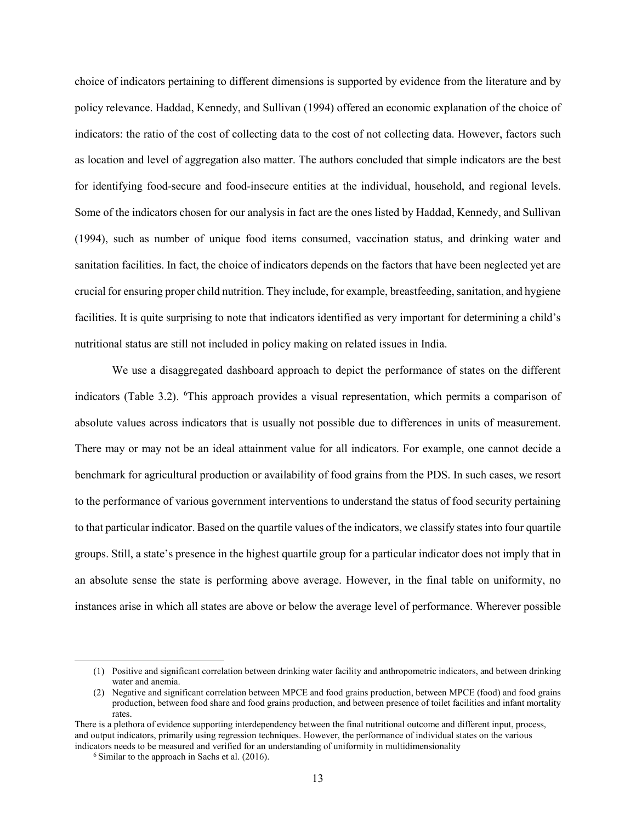choice of indicators pertaining to different dimensions is supported by evidence from the literature and by policy relevance. Haddad, Kennedy, and Sullivan (1994) offered an economic explanation of the choice of indicators: the ratio of the cost of collecting data to the cost of not collecting data. However, factors such as location and level of aggregation also matter. The authors concluded that simple indicators are the best for identifying food-secure and food-insecure entities at the individual, household, and regional levels. Some of the indicators chosen for our analysis in fact are the ones listed by Haddad, Kennedy, and Sullivan (1994), such as number of unique food items consumed, vaccination status, and drinking water and sanitation facilities. In fact, the choice of indicators depends on the factors that have been neglected yet are crucial for ensuring proper child nutrition. They include, for example, breastfeeding, sanitation, and hygiene facilities. It is quite surprising to note that indicators identified as very important for determining a child's nutritional status are still not included in policy making on related issues in India.

We use a disaggregated dashboard approach to depict the performance of states on the different indicators (Table 3.2). <sup>[6](#page-18-0)</sup>This approach provides a visual representation, which permits a comparison of absolute values across indicators that is usually not possible due to differences in units of measurement. There may or may not be an ideal attainment value for all indicators. For example, one cannot decide a benchmark for agricultural production or availability of food grains from the PDS. In such cases, we resort to the performance of various government interventions to understand the status of food security pertaining to that particular indicator. Based on the quartile values of the indicators, we classify states into four quartile groups. Still, a state's presence in the highest quartile group for a particular indicator does not imply that in an absolute sense the state is performing above average. However, in the final table on uniformity, no instances arise in which all states are above or below the average level of performance. Wherever possible

 <sup>(1)</sup> Positive and significant correlation between drinking water facility and anthropometric indicators, and between drinking water and anemia.

<sup>(2)</sup> Negative and significant correlation between MPCE and food grains production, between MPCE (food) and food grains production, between food share and food grains production, and between presence of toilet facilities and infant mortality rates.

<span id="page-18-0"></span>There is a plethora of evidence supporting interdependency between the final nutritional outcome and different input, process, and output indicators, primarily using regression techniques. However, the performance of individual states on the various indicators needs to be measured and verified for an understanding of uniformity in multidimensionality

 $6$  Similar to the approach in Sachs et al.  $(2016)$ .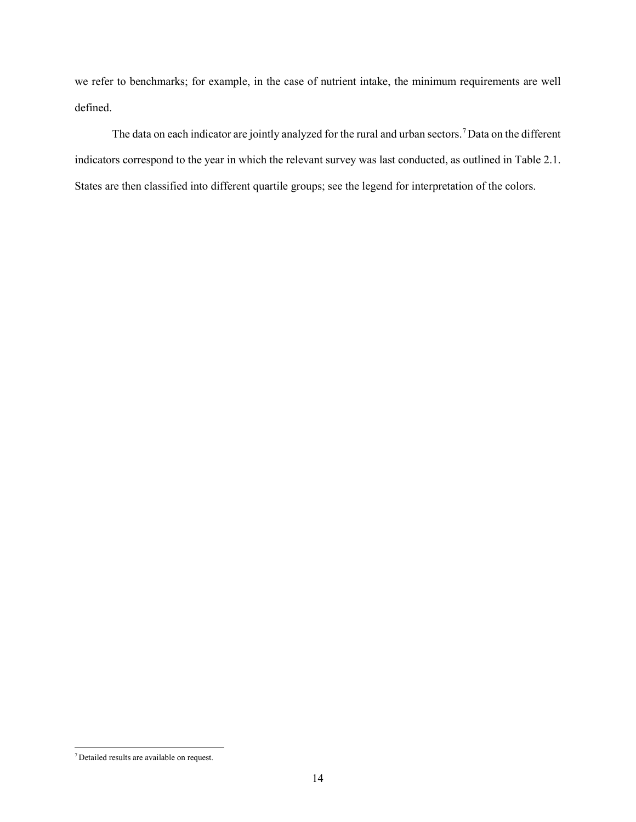we refer to benchmarks; for example, in the case of nutrient intake, the minimum requirements are well defined.

The data on each indicator are jointly analyzed for the rural and urban sectors. [7](#page-19-0)Data on the different indicators correspond to the year in which the relevant survey was last conducted, as outlined in Table 2.1. States are then classified into different quartile groups; see the legend for interpretation of the colors.

<span id="page-19-0"></span> <sup>7</sup> Detailed results are available on request.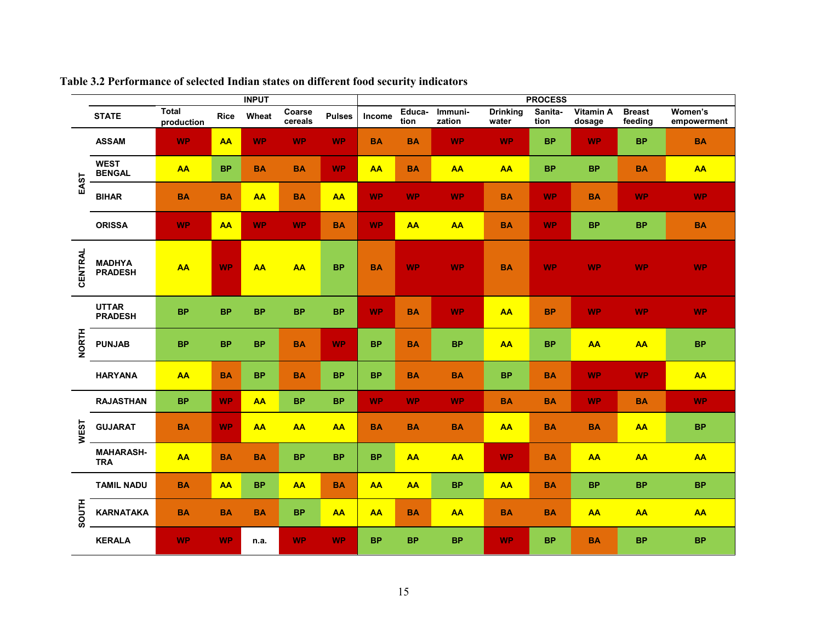|                | <b>INPUT</b>                    |                            |             |           |                   | <b>PROCESS</b> |           |                |                   |                          |                 |                     |                          |                        |
|----------------|---------------------------------|----------------------------|-------------|-----------|-------------------|----------------|-----------|----------------|-------------------|--------------------------|-----------------|---------------------|--------------------------|------------------------|
|                | <b>STATE</b>                    | <b>Total</b><br>production | <b>Rice</b> | Wheat     | Coarse<br>cereals | <b>Pulses</b>  | Income    | Educa-<br>tion | Immuni-<br>zation | <b>Drinking</b><br>water | Sanita-<br>tion | Vitamin A<br>dosage | <b>Breast</b><br>feeding | Women's<br>empowerment |
|                | <b>ASSAM</b>                    | WP.                        | <b>AA</b>   | WP.       | <b>WP</b>         | <b>WP</b>      | <b>BA</b> | <b>BA</b>      | <b>WP</b>         | <b>WP</b>                | <b>BP</b>       | <b>WP</b>           | <b>BP</b>                | <b>BA</b>              |
|                | <b>WEST</b><br><b>BENGAL</b>    | <b>AA</b>                  | <b>BP</b>   | <b>BA</b> | <b>BA</b>         | <b>WP</b>      | <b>AA</b> | <b>BA</b>      | <b>AA</b>         | <b>AA</b>                | <b>BP</b>       | <b>BP</b>           | <b>BA</b>                | <b>AA</b>              |
| EAST           | <b>BIHAR</b>                    | <b>BA</b>                  | <b>BA</b>   | <b>AA</b> | <b>BA</b>         | <b>AA</b>      | <b>WP</b> | <b>WP</b>      | <b>WP</b>         | <b>BA</b>                | <b>WP</b>       | <b>BA</b>           | <b>WP</b>                | <b>WP</b>              |
|                | <b>ORISSA</b>                   | WP.                        | <b>AA</b>   | <b>WP</b> | <b>WP</b>         | <b>BA</b>      | <b>WP</b> | <b>AA</b>      | <b>AA</b>         | <b>BA</b>                | <b>WP</b>       | <b>BP</b>           | <b>BP</b>                | <b>BA</b>              |
| <b>CENTRAL</b> | <b>MADHYA</b><br><b>PRADESH</b> | <b>AA</b>                  | <b>WP</b>   | <b>AA</b> | AA                | <b>BP</b>      | <b>BA</b> | <b>WP</b>      | <b>WP</b>         | <b>BA</b>                | <b>WP</b>       | <b>WP</b>           | <b>WP</b>                | <b>WP</b>              |
|                | <b>UTTAR</b><br><b>PRADESH</b>  | <b>BP</b>                  | <b>BP</b>   | <b>BP</b> | <b>BP</b>         | <b>BP</b>      | <b>WP</b> | <b>BA</b>      | <b>WP</b>         | <b>AA</b>                | <b>BP</b>       | <b>WP</b>           | <b>WP</b>                | <b>WP</b>              |
| <b>NORTH</b>   | <b>PUNJAB</b>                   | <b>BP</b>                  | <b>BP</b>   | <b>BP</b> | <b>BA</b>         | <b>WP</b>      | <b>BP</b> | <b>BA</b>      | <b>BP</b>         | <b>AA</b>                | <b>BP</b>       | <b>AA</b>           | <b>AA</b>                | <b>BP</b>              |
|                | <b>HARYANA</b>                  | <b>AA</b>                  | <b>BA</b>   | <b>BP</b> | <b>BA</b>         | <b>BP</b>      | <b>BP</b> | <b>BA</b>      | <b>BA</b>         | <b>BP</b>                | <b>BA</b>       | <b>WP</b>           | <b>WP</b>                | <b>AA</b>              |
|                | <b>RAJASTHAN</b>                | <b>BP</b>                  | <b>WP</b>   | <b>AA</b> | <b>BP</b>         | <b>BP</b>      | <b>WP</b> | <b>WP</b>      | <b>WP</b>         | <b>BA</b>                | <b>BA</b>       | <b>WP</b>           | <b>BA</b>                | <b>WP</b>              |
| <b>WEST</b>    | <b>GUJARAT</b>                  | <b>BA</b>                  | <b>WP</b>   | <b>AA</b> | <b>AA</b>         | <b>AA</b>      | <b>BA</b> | <b>BA</b>      | <b>BA</b>         | <b>AA</b>                | <b>BA</b>       | <b>BA</b>           | <b>AA</b>                | <b>BP</b>              |
|                | <b>MAHARASH-</b><br><b>TRA</b>  | AA                         | <b>BA</b>   | <b>BA</b> | <b>BP</b>         | <b>BP</b>      | <b>BP</b> | <b>AA</b>      | <b>AA</b>         | <b>WP</b>                | <b>BA</b>       | <b>AA</b>           | <b>AA</b>                | <b>AA</b>              |
|                | <b>TAMIL NADU</b>               | <b>BA</b>                  | <b>AA</b>   | <b>BP</b> | AA                | <b>BA</b>      | <b>AA</b> | <b>AA</b>      | <b>BP</b>         | AA                       | <b>BA</b>       | <b>BP</b>           | <b>BP</b>                | <b>BP</b>              |
| <b>SOUTH</b>   | <b>KARNATAKA</b>                | <b>BA</b>                  | <b>BA</b>   | <b>BA</b> | <b>BP</b>         | <b>AA</b>      | <b>AA</b> | <b>BA</b>      | <b>AA</b>         | <b>BA</b>                | <b>BA</b>       | <b>AA</b>           | <b>AA</b>                | <b>AA</b>              |
|                | <b>KERALA</b>                   | <b>WP</b>                  | <b>WP</b>   | n.a.      | <b>WP</b>         | <b>WP</b>      | <b>BP</b> | <b>BP</b>      | <b>BP</b>         | <b>WP</b>                | <b>BP</b>       | <b>BA</b>           | <b>BP</b>                | <b>BP</b>              |

## **Table 3.2 Performance of selected Indian states on different food security indicators**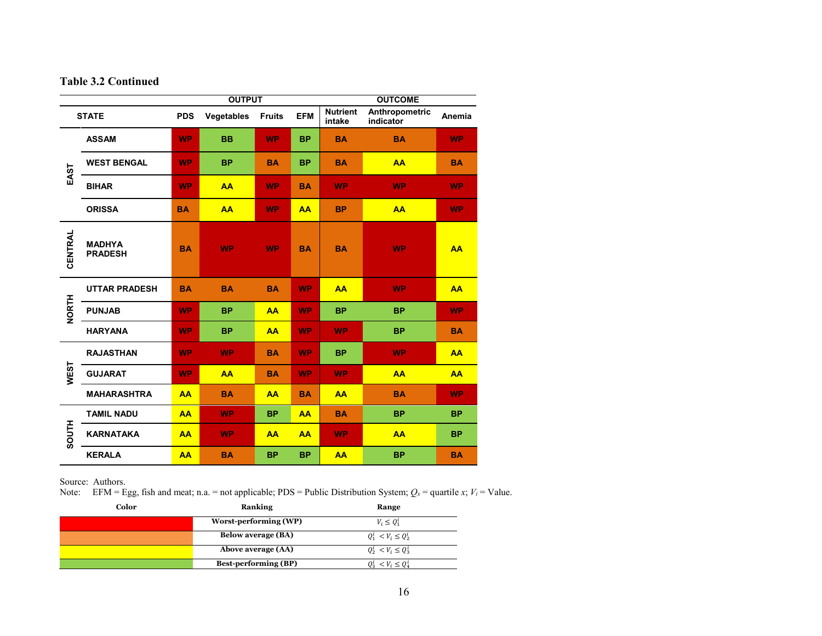## **Table 3.2 Continued**

| <b>OUTPUT</b> |                                 |            |            |               |            |                           | <b>OUTCOME</b>              |           |  |
|---------------|---------------------------------|------------|------------|---------------|------------|---------------------------|-----------------------------|-----------|--|
|               | <b>STATE</b>                    | <b>PDS</b> | Vegetables | <b>Fruits</b> | <b>EFM</b> | <b>Nutrient</b><br>intake | Anthropometric<br>indicator | Anemia    |  |
| EAST          | <b>ASSAM</b>                    | <b>WP</b>  | <b>BB</b>  | <b>WP</b>     | <b>BP</b>  | <b>BA</b>                 | <b>BA</b>                   | <b>WP</b> |  |
|               | <b>WEST BENGAL</b>              | <b>WP</b>  | <b>BP</b>  | <b>BA</b>     | <b>BP</b>  | <b>BA</b>                 | <b>AA</b>                   | <b>BA</b> |  |
|               | <b>BIHAR</b>                    | <b>WP</b>  | <b>AA</b>  | <b>WP</b>     | <b>BA</b>  | <b>WP</b>                 | <b>WP</b>                   | <b>WP</b> |  |
|               | <b>ORISSA</b>                   | <b>BA</b>  | AA         | <b>WP</b>     | AA         | <b>BP</b>                 | <b>AA</b>                   | <b>WP</b> |  |
| CENTRAL       | <b>MADHYA</b><br><b>PRADESH</b> | <b>BA</b>  | <b>WP</b>  | <b>WP</b>     | <b>BA</b>  | <b>BA</b>                 | <b>WP</b>                   | AA        |  |
| <b>NORTH</b>  | <b>UTTAR PRADESH</b>            | <b>BA</b>  | <b>BA</b>  | <b>BA</b>     | <b>WP</b>  | <b>AA</b>                 | <b>WP</b>                   | <b>AA</b> |  |
|               | <b>PUNJAB</b>                   | <b>WP</b>  | <b>BP</b>  | AA            | <b>WP</b>  | <b>BP</b>                 | <b>BP</b>                   | <b>WP</b> |  |
|               | <b>HARYANA</b>                  | <b>WP</b>  | <b>BP</b>  | AA            | <b>WP</b>  | <b>WP</b>                 | <b>BP</b>                   | <b>BA</b> |  |
|               | <b>RAJASTHAN</b>                | <b>WP</b>  | <b>WP</b>  | <b>BA</b>     | <b>WP</b>  | <b>BP</b>                 | <b>WP</b>                   | <b>AA</b> |  |
| <b>WEST</b>   | <b>GUJARAT</b>                  | <b>WP</b>  | AA         | <b>BA</b>     | <b>WP</b>  | <b>WP</b>                 | AA                          | <b>AA</b> |  |
|               | <b>MAHARASHTRA</b>              | AA         | <b>BA</b>  | AA            | <b>BA</b>  | <b>AA</b>                 | <b>BA</b>                   | <b>WP</b> |  |
|               | <b>TAMIL NADU</b>               | AA         | <b>WP</b>  | <b>BP</b>     | AA         | <b>BA</b>                 | <b>BP</b>                   | <b>BP</b> |  |
| <b>HILDOS</b> | <b>KARNATAKA</b>                | AA         | <b>WP</b>  | AA            | AA         | <b>WP</b>                 | AA                          | <b>BP</b> |  |
|               | <b>KERALA</b>                   | AA         | <b>BA</b>  | <b>BP</b>     | <b>BP</b>  | AA                        | <b>BP</b>                   | <b>BA</b> |  |

Source: Authors.

Note: EFM = Egg, fish and meat; n.a. = not applicable; PDS = Public Distribution System;  $Q_x$  = quartile *x*;  $V_i$  = Value.

| Color | <b>Ranking</b>              | Range                              |
|-------|-----------------------------|------------------------------------|
|       | Worst-performing (WP)       | $V_i \leq Q_1^i$                   |
|       | <b>Below average (BA)</b>   | $Q_1^i \le V_i \le Q_2^i$          |
|       | Above average (AA)          | $Q_2^i \le V_i \le Q_3^i$          |
|       | <b>Best-performing (BP)</b> | $\langle V_i \times O_4^1 \rangle$ |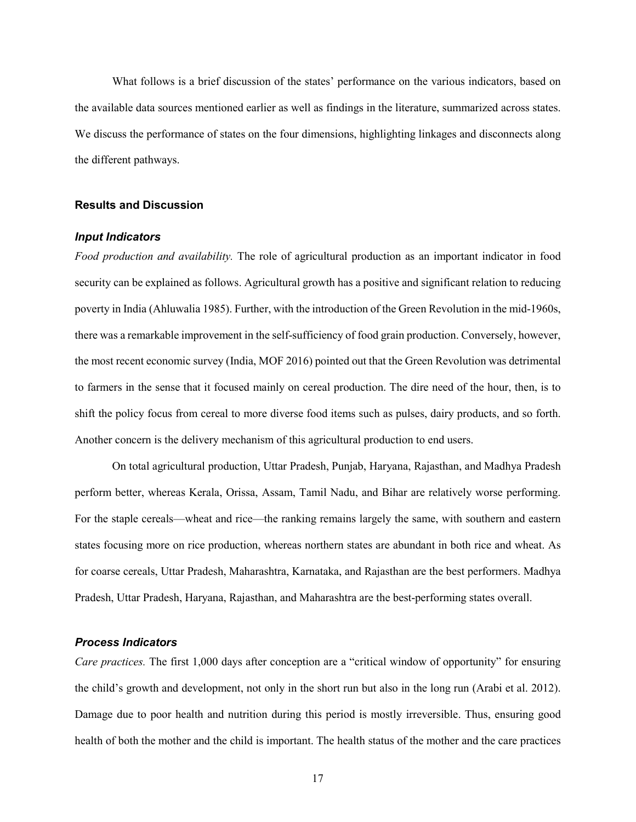What follows is a brief discussion of the states' performance on the various indicators, based on the available data sources mentioned earlier as well as findings in the literature, summarized across states. We discuss the performance of states on the four dimensions, highlighting linkages and disconnects along the different pathways.

#### **Results and Discussion**

## *Input Indicators*

*Food production and availability.* The role of agricultural production as an important indicator in food security can be explained as follows. Agricultural growth has a positive and significant relation to reducing poverty in India (Ahluwalia 1985). Further, with the introduction of the Green Revolution in the mid-1960s, there was a remarkable improvement in the self-sufficiency of food grain production. Conversely, however, the most recent economic survey (India, MOF 2016) pointed out that the Green Revolution was detrimental to farmers in the sense that it focused mainly on cereal production. The dire need of the hour, then, is to shift the policy focus from cereal to more diverse food items such as pulses, dairy products, and so forth. Another concern is the delivery mechanism of this agricultural production to end users.

On total agricultural production, Uttar Pradesh, Punjab, Haryana, Rajasthan, and Madhya Pradesh perform better, whereas Kerala, Orissa, Assam, Tamil Nadu, and Bihar are relatively worse performing. For the staple cereals—wheat and rice—the ranking remains largely the same, with southern and eastern states focusing more on rice production, whereas northern states are abundant in both rice and wheat. As for coarse cereals, Uttar Pradesh, Maharashtra, Karnataka, and Rajasthan are the best performers. Madhya Pradesh, Uttar Pradesh, Haryana, Rajasthan, and Maharashtra are the best-performing states overall.

#### *Process Indicators*

*Care practices.* The first 1,000 days after conception are a "critical window of opportunity" for ensuring the child's growth and development, not only in the short run but also in the long run (Arabi et al. 2012). Damage due to poor health and nutrition during this period is mostly irreversible. Thus, ensuring good health of both the mother and the child is important. The health status of the mother and the care practices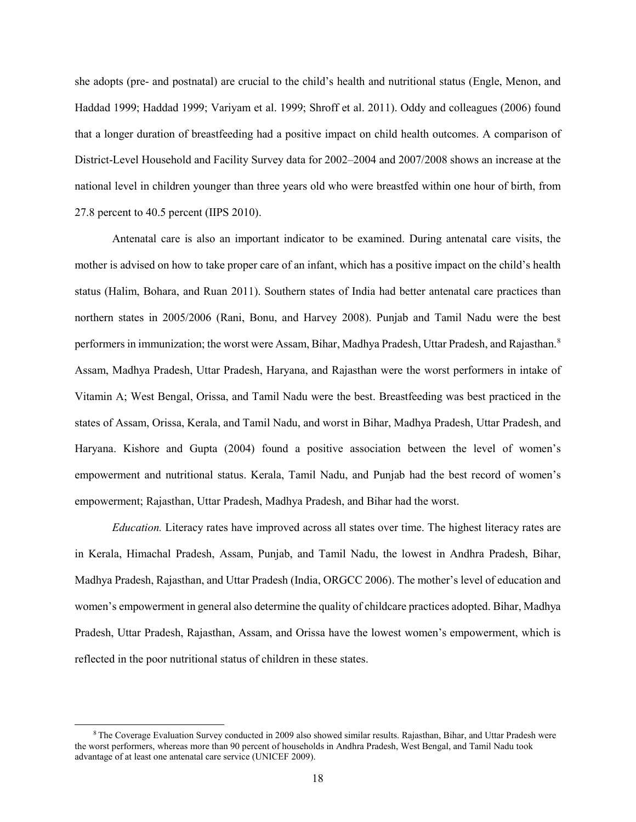she adopts (pre- and postnatal) are crucial to the child's health and nutritional status (Engle, Menon, and Haddad 1999; Haddad 1999; Variyam et al. 1999; Shroff et al. 2011). Oddy and colleagues (2006) found that a longer duration of breastfeeding had a positive impact on child health outcomes. A comparison of District-Level Household and Facility Survey data for 2002–2004 and 2007/2008 shows an increase at the national level in children younger than three years old who were breastfed within one hour of birth, from 27.8 percent to 40.5 percent (IIPS 2010).

Antenatal care is also an important indicator to be examined. During antenatal care visits, the mother is advised on how to take proper care of an infant, which has a positive impact on the child's health status (Halim, Bohara, and Ruan 2011). Southern states of India had better antenatal care practices than northern states in 2005/2006 (Rani, Bonu, and Harvey 2008). Punjab and Tamil Nadu were the best performers in immunization; the worst were Assam, Bihar, Madhya Pradesh, Uttar Pradesh, and Rajasthan.<sup>[8](#page-23-0)</sup> Assam, Madhya Pradesh, Uttar Pradesh, Haryana, and Rajasthan were the worst performers in intake of Vitamin A; West Bengal, Orissa, and Tamil Nadu were the best. Breastfeeding was best practiced in the states of Assam, Orissa, Kerala, and Tamil Nadu, and worst in Bihar, Madhya Pradesh, Uttar Pradesh, and Haryana. Kishore and Gupta (2004) found a positive association between the level of women's empowerment and nutritional status. Kerala, Tamil Nadu, and Punjab had the best record of women's empowerment; Rajasthan, Uttar Pradesh, Madhya Pradesh, and Bihar had the worst.

*Education.* Literacy rates have improved across all states over time. The highest literacy rates are in Kerala, Himachal Pradesh, Assam, Punjab, and Tamil Nadu, the lowest in Andhra Pradesh, Bihar, Madhya Pradesh, Rajasthan, and Uttar Pradesh (India, ORGCC 2006). The mother's level of education and women's empowerment in general also determine the quality of childcare practices adopted. Bihar, Madhya Pradesh, Uttar Pradesh, Rajasthan, Assam, and Orissa have the lowest women's empowerment, which is reflected in the poor nutritional status of children in these states.

<span id="page-23-0"></span> <sup>8</sup> The Coverage Evaluation Survey conducted in 2009 also showed similar results. Rajasthan, Bihar, and Uttar Pradesh were the worst performers, whereas more than 90 percent of households in Andhra Pradesh, West Bengal, and Tamil Nadu took advantage of at least one antenatal care service (UNICEF 2009).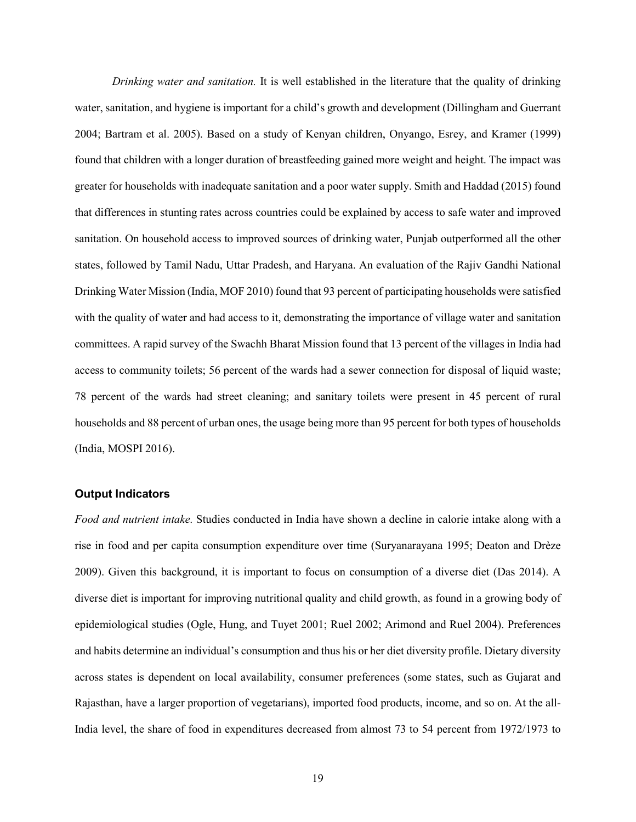*Drinking water and sanitation.* It is well established in the literature that the quality of drinking water, sanitation, and hygiene is important for a child's growth and development (Dillingham and Guerrant 2004; Bartram et al. 2005). Based on a study of Kenyan children, Onyango, Esrey, and Kramer (1999) found that children with a longer duration of breastfeeding gained more weight and height. The impact was greater for households with inadequate sanitation and a poor water supply. Smith and Haddad (2015) found that differences in stunting rates across countries could be explained by access to safe water and improved sanitation. On household access to improved sources of drinking water, Punjab outperformed all the other states, followed by Tamil Nadu, Uttar Pradesh, and Haryana. An evaluation of the Rajiv Gandhi National Drinking Water Mission (India, MOF 2010) found that 93 percent of participating households were satisfied with the quality of water and had access to it, demonstrating the importance of village water and sanitation committees. A rapid survey of the Swachh Bharat Mission found that 13 percent of the villages in India had access to community toilets; 56 percent of the wards had a sewer connection for disposal of liquid waste; 78 percent of the wards had street cleaning; and sanitary toilets were present in 45 percent of rural households and 88 percent of urban ones, the usage being more than 95 percent for both types of households (India, MOSPI 2016).

#### **Output Indicators**

*Food and nutrient intake.* Studies conducted in India have shown a decline in calorie intake along with a rise in food and per capita consumption expenditure over time (Suryanarayana 1995; Deaton and Drèze 2009). Given this background, it is important to focus on consumption of a diverse diet (Das 2014). A diverse diet is important for improving nutritional quality and child growth, as found in a growing body of epidemiological studies (Ogle, Hung, and Tuyet 2001; Ruel 2002; Arimond and Ruel 2004). Preferences and habits determine an individual's consumption and thus his or her diet diversity profile. Dietary diversity across states is dependent on local availability, consumer preferences (some states, such as Gujarat and Rajasthan, have a larger proportion of vegetarians), imported food products, income, and so on. At the all-India level, the share of food in expenditures decreased from almost 73 to 54 percent from 1972/1973 to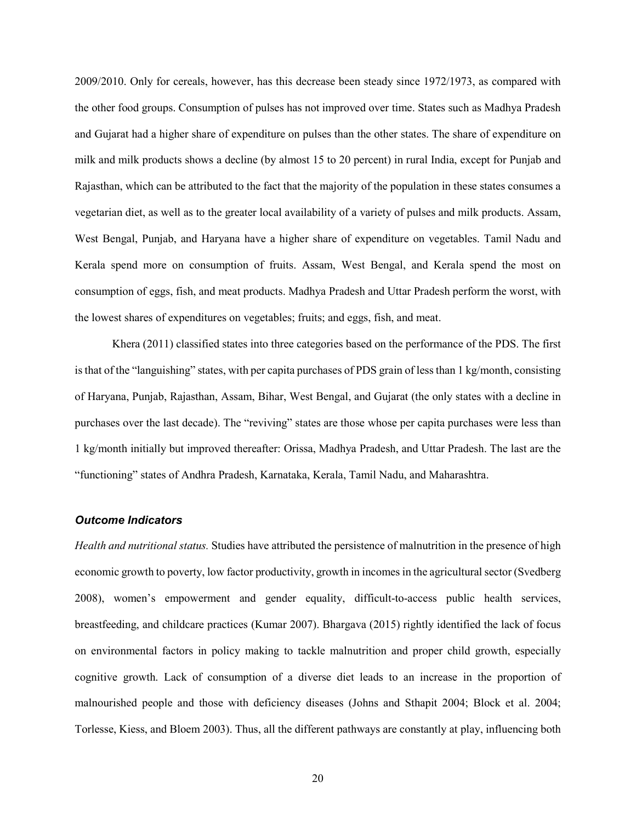2009/2010. Only for cereals, however, has this decrease been steady since 1972/1973, as compared with the other food groups. Consumption of pulses has not improved over time. States such as Madhya Pradesh and Gujarat had a higher share of expenditure on pulses than the other states. The share of expenditure on milk and milk products shows a decline (by almost 15 to 20 percent) in rural India, except for Punjab and Rajasthan, which can be attributed to the fact that the majority of the population in these states consumes a vegetarian diet, as well as to the greater local availability of a variety of pulses and milk products. Assam, West Bengal, Punjab, and Haryana have a higher share of expenditure on vegetables. Tamil Nadu and Kerala spend more on consumption of fruits. Assam, West Bengal, and Kerala spend the most on consumption of eggs, fish, and meat products. Madhya Pradesh and Uttar Pradesh perform the worst, with the lowest shares of expenditures on vegetables; fruits; and eggs, fish, and meat.

Khera (2011) classified states into three categories based on the performance of the PDS. The first is that of the "languishing" states, with per capita purchases of PDS grain of less than 1 kg/month, consisting of Haryana, Punjab, Rajasthan, Assam, Bihar, West Bengal, and Gujarat (the only states with a decline in purchases over the last decade). The "reviving" states are those whose per capita purchases were less than 1 kg/month initially but improved thereafter: Orissa, Madhya Pradesh, and Uttar Pradesh. The last are the "functioning" states of Andhra Pradesh, Karnataka, Kerala, Tamil Nadu, and Maharashtra.

#### *Outcome Indicators*

*Health and nutritional status.* Studies have attributed the persistence of malnutrition in the presence of high economic growth to poverty, low factor productivity, growth in incomes in the agricultural sector (Svedberg 2008), women's empowerment and gender equality, difficult-to-access public health services, breastfeeding, and childcare practices (Kumar 2007). Bhargava (2015) rightly identified the lack of focus on environmental factors in policy making to tackle malnutrition and proper child growth, especially cognitive growth. Lack of consumption of a diverse diet leads to an increase in the proportion of malnourished people and those with deficiency diseases (Johns and Sthapit 2004; Block et al. 2004; Torlesse, Kiess, and Bloem 2003). Thus, all the different pathways are constantly at play, influencing both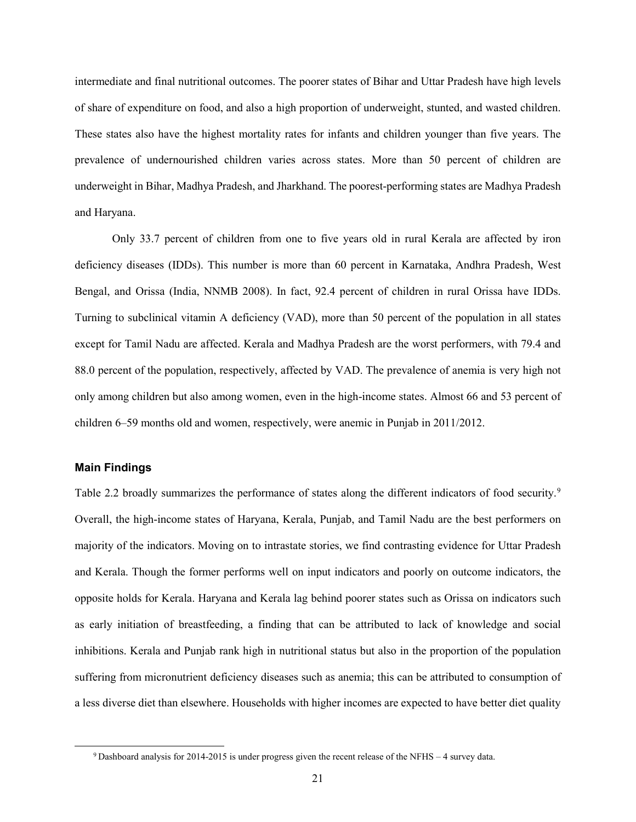intermediate and final nutritional outcomes. The poorer states of Bihar and Uttar Pradesh have high levels of share of expenditure on food, and also a high proportion of underweight, stunted, and wasted children. These states also have the highest mortality rates for infants and children younger than five years. The prevalence of undernourished children varies across states. More than 50 percent of children are underweight in Bihar, Madhya Pradesh, and Jharkhand. The poorest-performing states are Madhya Pradesh and Haryana.

Only 33.7 percent of children from one to five years old in rural Kerala are affected by iron deficiency diseases (IDDs). This number is more than 60 percent in Karnataka, Andhra Pradesh, West Bengal, and Orissa (India, NNMB 2008). In fact, 92.4 percent of children in rural Orissa have IDDs. Turning to subclinical vitamin A deficiency (VAD), more than 50 percent of the population in all states except for Tamil Nadu are affected. Kerala and Madhya Pradesh are the worst performers, with 79.4 and 88.0 percent of the population, respectively, affected by VAD. The prevalence of anemia is very high not only among children but also among women, even in the high-income states. Almost 66 and 53 percent of children 6–59 months old and women, respectively, were anemic in Punjab in 2011/2012.

## **Main Findings**

Table 2.2 broadly summarizes the performance of states along the different indicators of food security.<sup>[9](#page-26-0)</sup> Overall, the high-income states of Haryana, Kerala, Punjab, and Tamil Nadu are the best performers on majority of the indicators. Moving on to intrastate stories, we find contrasting evidence for Uttar Pradesh and Kerala. Though the former performs well on input indicators and poorly on outcome indicators, the opposite holds for Kerala. Haryana and Kerala lag behind poorer states such as Orissa on indicators such as early initiation of breastfeeding, a finding that can be attributed to lack of knowledge and social inhibitions. Kerala and Punjab rank high in nutritional status but also in the proportion of the population suffering from micronutrient deficiency diseases such as anemia; this can be attributed to consumption of a less diverse diet than elsewhere. Households with higher incomes are expected to have better diet quality

<span id="page-26-0"></span> $9$  Dashboard analysis for 2014-2015 is under progress given the recent release of the NFHS – 4 survey data.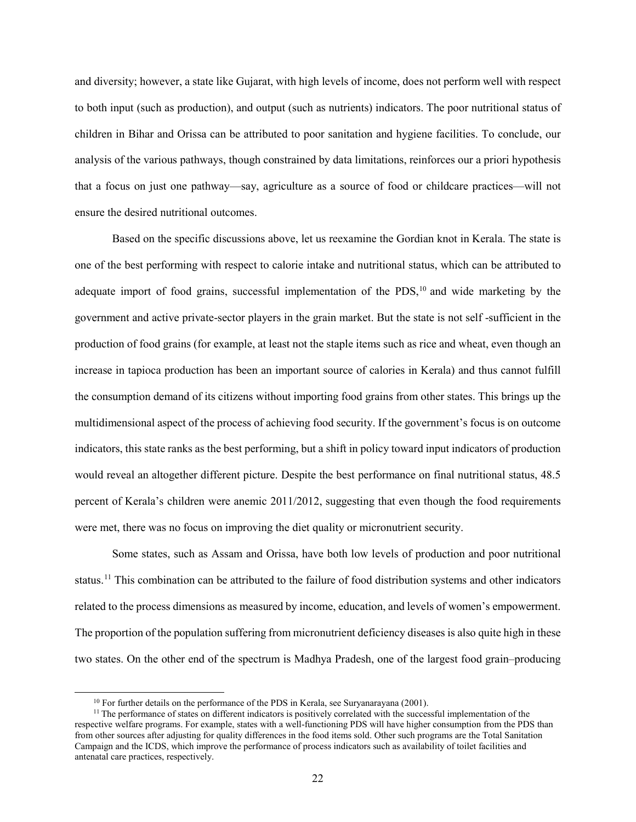and diversity; however, a state like Gujarat, with high levels of income, does not perform well with respect to both input (such as production), and output (such as nutrients) indicators. The poor nutritional status of children in Bihar and Orissa can be attributed to poor sanitation and hygiene facilities. To conclude, our analysis of the various pathways, though constrained by data limitations, reinforces our a priori hypothesis that a focus on just one pathway—say, agriculture as a source of food or childcare practices—will not ensure the desired nutritional outcomes.

Based on the specific discussions above, let us reexamine the Gordian knot in Kerala. The state is one of the best performing with respect to calorie intake and nutritional status, which can be attributed to adequate import of food grains, successful implementation of the PDS,<sup>[10](#page-27-0)</sup> and wide marketing by the government and active private-sector players in the grain market. But the state is not self -sufficient in the production of food grains (for example, at least not the staple items such as rice and wheat, even though an increase in tapioca production has been an important source of calories in Kerala) and thus cannot fulfill the consumption demand of its citizens without importing food grains from other states. This brings up the multidimensional aspect of the process of achieving food security. If the government's focus is on outcome indicators, this state ranks as the best performing, but a shift in policy toward input indicators of production would reveal an altogether different picture. Despite the best performance on final nutritional status, 48.5 percent of Kerala's children were anemic 2011/2012, suggesting that even though the food requirements were met, there was no focus on improving the diet quality or micronutrient security.

Some states, such as Assam and Orissa, have both low levels of production and poor nutritional status.[11](#page-27-1) This combination can be attributed to the failure of food distribution systems and other indicators related to the process dimensions as measured by income, education, and levels of women's empowerment. The proportion of the population suffering from micronutrient deficiency diseases is also quite high in these two states. On the other end of the spectrum is Madhya Pradesh, one of the largest food grain–producing

<sup>&</sup>lt;sup>10</sup> For further details on the performance of the PDS in Kerala, see Suryanarayana (2001).

<span id="page-27-1"></span><span id="page-27-0"></span><sup>&</sup>lt;sup>11</sup> The performance of states on different indicators is positively correlated with the successful implementation of the respective welfare programs. For example, states with a well-functioning PDS will have higher consumption from the PDS than from other sources after adjusting for quality differences in the food items sold. Other such programs are the Total Sanitation Campaign and the ICDS, which improve the performance of process indicators such as availability of toilet facilities and antenatal care practices, respectively.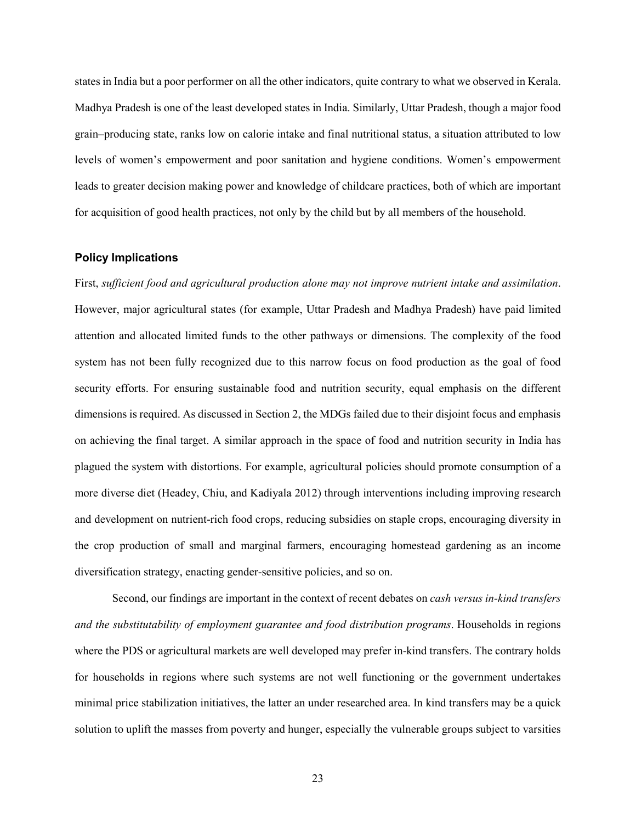states in India but a poor performer on all the other indicators, quite contrary to what we observed in Kerala. Madhya Pradesh is one of the least developed states in India. Similarly, Uttar Pradesh, though a major food grain–producing state, ranks low on calorie intake and final nutritional status, a situation attributed to low levels of women's empowerment and poor sanitation and hygiene conditions. Women's empowerment leads to greater decision making power and knowledge of childcare practices, both of which are important for acquisition of good health practices, not only by the child but by all members of the household.

#### **Policy Implications**

First, *sufficient food and agricultural production alone may not improve nutrient intake and assimilation*. However, major agricultural states (for example, Uttar Pradesh and Madhya Pradesh) have paid limited attention and allocated limited funds to the other pathways or dimensions. The complexity of the food system has not been fully recognized due to this narrow focus on food production as the goal of food security efforts. For ensuring sustainable food and nutrition security, equal emphasis on the different dimensions is required. As discussed in Section 2, the MDGs failed due to their disjoint focus and emphasis on achieving the final target. A similar approach in the space of food and nutrition security in India has plagued the system with distortions. For example, agricultural policies should promote consumption of a more diverse diet (Headey, Chiu, and Kadiyala 2012) through interventions including improving research and development on nutrient-rich food crops, reducing subsidies on staple crops, encouraging diversity in the crop production of small and marginal farmers, encouraging homestead gardening as an income diversification strategy, enacting gender-sensitive policies, and so on.

Second, our findings are important in the context of recent debates on *cash versus in-kind transfers and the substitutability of employment guarantee and food distribution programs*. Households in regions where the PDS or agricultural markets are well developed may prefer in-kind transfers. The contrary holds for households in regions where such systems are not well functioning or the government undertakes minimal price stabilization initiatives, the latter an under researched area. In kind transfers may be a quick solution to uplift the masses from poverty and hunger, especially the vulnerable groups subject to varsities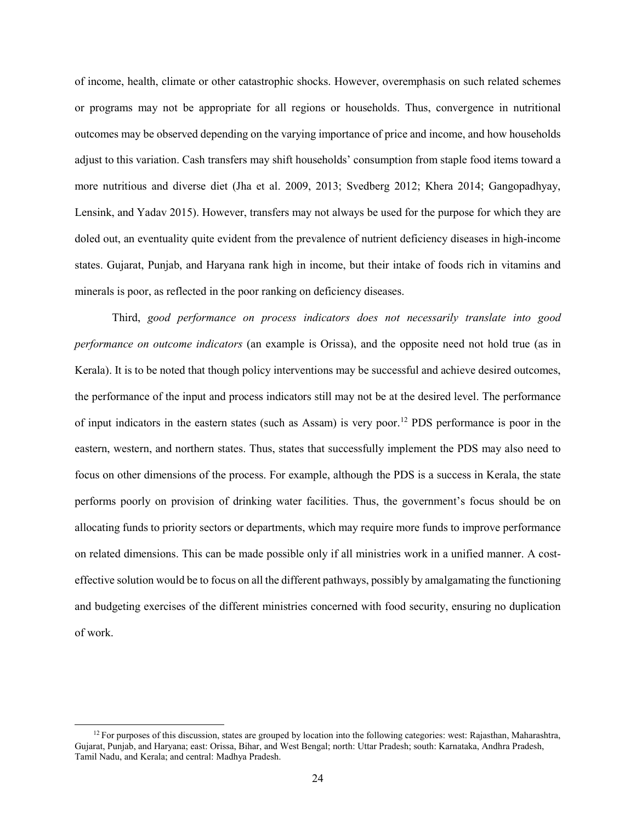of income, health, climate or other catastrophic shocks. However, overemphasis on such related schemes or programs may not be appropriate for all regions or households. Thus, convergence in nutritional outcomes may be observed depending on the varying importance of price and income, and how households adjust to this variation. Cash transfers may shift households' consumption from staple food items toward a more nutritious and diverse diet (Jha et al. 2009, 2013; Svedberg 2012; Khera 2014; Gangopadhyay, Lensink, and Yadav 2015). However, transfers may not always be used for the purpose for which they are doled out, an eventuality quite evident from the prevalence of nutrient deficiency diseases in high-income states. Gujarat, Punjab, and Haryana rank high in income, but their intake of foods rich in vitamins and minerals is poor, as reflected in the poor ranking on deficiency diseases.

Third, *good performance on process indicators does not necessarily translate into good performance on outcome indicators* (an example is Orissa), and the opposite need not hold true (as in Kerala). It is to be noted that though policy interventions may be successful and achieve desired outcomes, the performance of the input and process indicators still may not be at the desired level. The performance of input indicators in the eastern states (such as Assam) is very poor.[12](#page-29-0) PDS performance is poor in the eastern, western, and northern states. Thus, states that successfully implement the PDS may also need to focus on other dimensions of the process. For example, although the PDS is a success in Kerala, the state performs poorly on provision of drinking water facilities. Thus, the government's focus should be on allocating funds to priority sectors or departments, which may require more funds to improve performance on related dimensions. This can be made possible only if all ministries work in a unified manner. A costeffective solution would be to focus on all the different pathways, possibly by amalgamating the functioning and budgeting exercises of the different ministries concerned with food security, ensuring no duplication of work.

<span id="page-29-0"></span> $12$  For purposes of this discussion, states are grouped by location into the following categories: west: Rajasthan, Maharashtra, Gujarat, Punjab, and Haryana; east: Orissa, Bihar, and West Bengal; north: Uttar Pradesh; south: Karnataka, Andhra Pradesh, Tamil Nadu, and Kerala; and central: Madhya Pradesh.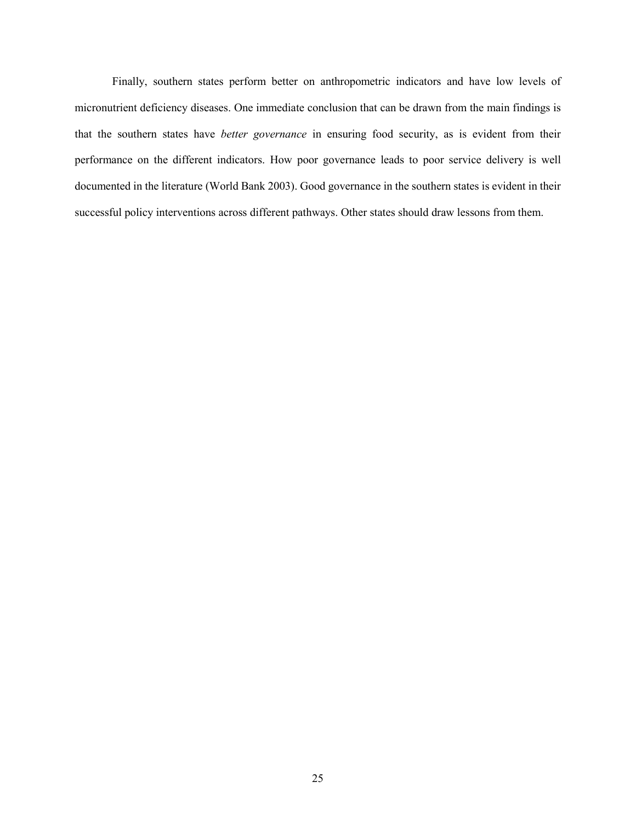Finally, southern states perform better on anthropometric indicators and have low levels of micronutrient deficiency diseases. One immediate conclusion that can be drawn from the main findings is that the southern states have *better governance* in ensuring food security, as is evident from their performance on the different indicators. How poor governance leads to poor service delivery is well documented in the literature (World Bank 2003). Good governance in the southern states is evident in their successful policy interventions across different pathways. Other states should draw lessons from them.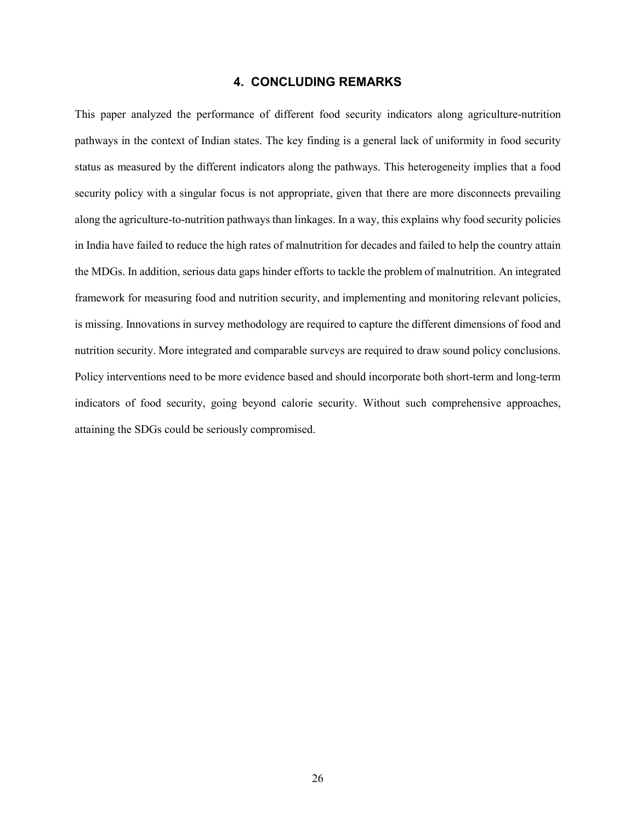## **4. CONCLUDING REMARKS**

This paper analyzed the performance of different food security indicators along agriculture-nutrition pathways in the context of Indian states. The key finding is a general lack of uniformity in food security status as measured by the different indicators along the pathways. This heterogeneity implies that a food security policy with a singular focus is not appropriate, given that there are more disconnects prevailing along the agriculture-to-nutrition pathways than linkages. In a way, this explains why food security policies in India have failed to reduce the high rates of malnutrition for decades and failed to help the country attain the MDGs. In addition, serious data gaps hinder efforts to tackle the problem of malnutrition. An integrated framework for measuring food and nutrition security, and implementing and monitoring relevant policies, is missing. Innovations in survey methodology are required to capture the different dimensions of food and nutrition security. More integrated and comparable surveys are required to draw sound policy conclusions. Policy interventions need to be more evidence based and should incorporate both short-term and long-term indicators of food security, going beyond calorie security. Without such comprehensive approaches, attaining the SDGs could be seriously compromised.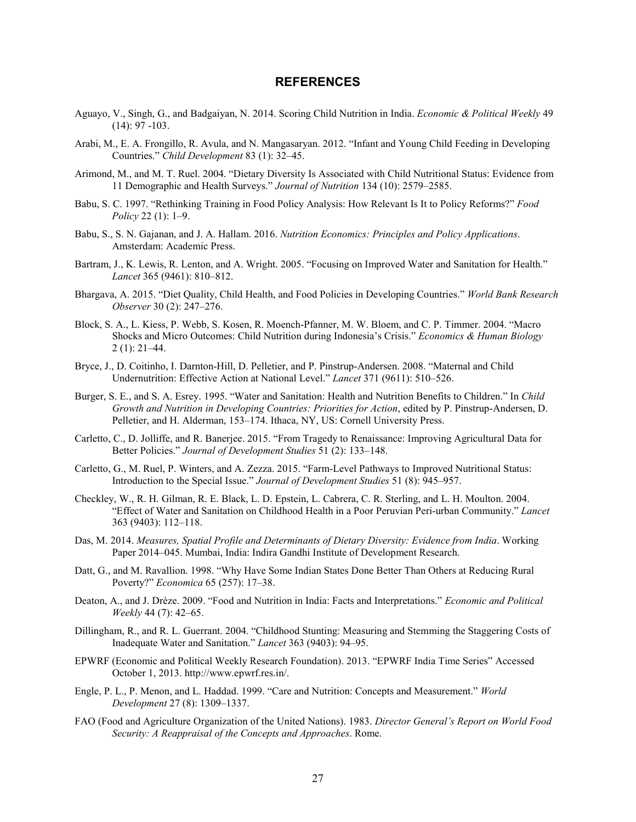#### **REFERENCES**

- Aguayo, V., Singh, G., and Badgaiyan, N. 2014. Scoring Child Nutrition in India. *Economic & Political Weekly* 49 (14): 97 -103.
- Arabi, M., E. A. Frongillo, R. Avula, and N. Mangasaryan. 2012. "Infant and Young Child Feeding in Developing Countries." *Child Development* 83 (1): 32–45.
- Arimond, M., and M. T. Ruel. 2004. "Dietary Diversity Is Associated with Child Nutritional Status: Evidence from 11 Demographic and Health Surveys." *Journal of Nutrition* 134 (10): 2579–2585.
- Babu, S. C. 1997. "Rethinking Training in Food Policy Analysis: How Relevant Is It to Policy Reforms?" *Food Policy* 22 (1): 1–9.
- Babu, S., S. N. Gajanan, and J. A. Hallam. 2016. *Nutrition Economics: Principles and Policy Applications*. Amsterdam: Academic Press.
- Bartram, J., K. Lewis, R. Lenton, and A. Wright. 2005. "Focusing on Improved Water and Sanitation for Health." *Lancet* 365 (9461): 810–812.
- Bhargava, A. 2015. "Diet Quality, Child Health, and Food Policies in Developing Countries." *World Bank Research Observer* 30 (2): 247–276.
- Block, S. A., L. Kiess, P. Webb, S. Kosen, R. Moench-Pfanner, M. W. Bloem, and C. P. Timmer. 2004. "Macro Shocks and Micro Outcomes: Child Nutrition during Indonesia's Crisis." *Economics & Human Biology* 2 (1): 21–44.
- Bryce, J., D. Coitinho, I. Darnton-Hill, D. Pelletier, and P. Pinstrup-Andersen. 2008. "Maternal and Child Undernutrition: Effective Action at National Level." *Lancet* 371 (9611): 510–526.
- Burger, S. E., and S. A. Esrey. 1995. "Water and Sanitation: Health and Nutrition Benefits to Children." In *Child Growth and Nutrition in Developing Countries: Priorities for Action*, edited by P. Pinstrup-Andersen, D. Pelletier, and H. Alderman, 153–174. Ithaca, NY, US: Cornell University Press.
- Carletto, C., D. Jolliffe, and R. Banerjee. 2015. "From Tragedy to Renaissance: Improving Agricultural Data for Better Policies." *Journal of Development Studies* 51 (2): 133–148.
- Carletto, G., M. Ruel, P. Winters, and A. Zezza. 2015. "Farm-Level Pathways to Improved Nutritional Status: Introduction to the Special Issue." *Journal of Development Studies* 51 (8): 945–957.
- Checkley, W., R. H. Gilman, R. E. Black, L. D. Epstein, L. Cabrera, C. R. Sterling, and L. H. Moulton. 2004. "Effect of Water and Sanitation on Childhood Health in a Poor Peruvian Peri-urban Community." *Lancet* 363 (9403): 112–118.
- Das, M. 2014. *Measures, Spatial Profile and Determinants of Dietary Diversity: Evidence from India*. Working Paper 2014–045. Mumbai, India: Indira Gandhi Institute of Development Research.
- Datt, G., and M. Ravallion. 1998. "Why Have Some Indian States Done Better Than Others at Reducing Rural Poverty?" *Economica* 65 (257): 17–38.
- Deaton, A., and J. Drèze. 2009. "Food and Nutrition in India: Facts and Interpretations." *Economic and Political Weekly* 44 (7): 42–65.
- Dillingham, R., and R. L. Guerrant. 2004. "Childhood Stunting: Measuring and Stemming the Staggering Costs of Inadequate Water and Sanitation." *Lancet* 363 (9403): 94–95.
- EPWRF (Economic and Political Weekly Research Foundation). 2013. "EPWRF India Time Series" Accessed October 1, 2013[. http://www.epwrf.res.in/.](http://www.epwrf.res.in/)
- Engle, P. L., P. Menon, and L. Haddad. 1999. "Care and Nutrition: Concepts and Measurement." *World Development* 27 (8): 1309–1337.
- FAO (Food and Agriculture Organization of the United Nations). 1983. *Director General's Report on World Food Security: A Reappraisal of the Concepts and Approaches*. Rome.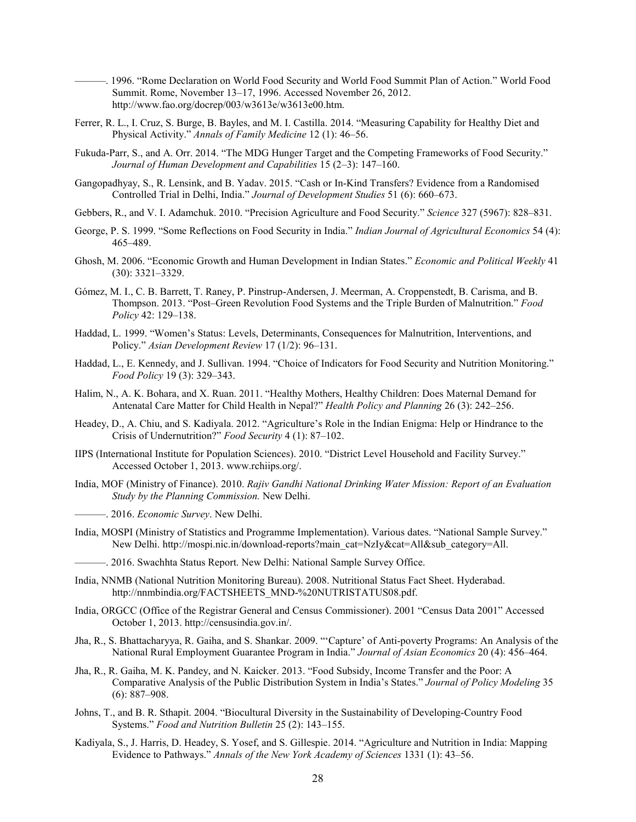———. 1996. "Rome Declaration on World Food Security and World Food Summit Plan of Action." World Food Summit. Rome, November 13–17, 1996. Accessed November 26, 2012. [http://www.fao.org/docrep/003/w3613e/w3613e00.htm.](http://www.fao.org/docrep/003/w3613e/w3613e00.htm)

- Ferrer, R. L., I. Cruz, S. Burge, B. Bayles, and M. I. Castilla. 2014. "Measuring Capability for Healthy Diet and Physical Activity." *Annals of Family Medicine* 12 (1): 46–56.
- Fukuda-Parr, S., and A. Orr. 2014. "The MDG Hunger Target and the Competing Frameworks of Food Security." *Journal of Human Development and Capabilities* 15 (2–3): 147–160.
- Gangopadhyay, S., R. Lensink, and B. Yadav. 2015. "Cash or In-Kind Transfers? Evidence from a Randomised Controlled Trial in Delhi, India." *Journal of Development Studies* 51 (6): 660–673.
- Gebbers, R., and V. I. Adamchuk. 2010. "Precision Agriculture and Food Security." *Science* 327 (5967): 828–831.
- George, P. S. 1999. "Some Reflections on Food Security in India." *Indian Journal of Agricultural Economics* 54 (4): 465–489.
- Ghosh, M. 2006. "Economic Growth and Human Development in Indian States." *Economic and Political Weekly* 41 (30): 3321–3329.
- Gómez, M. I., C. B. Barrett, T. Raney, P. Pinstrup-Andersen, J. Meerman, A. Croppenstedt, B. Carisma, and B. Thompson. 2013. "Post–Green Revolution Food Systems and the Triple Burden of Malnutrition." *Food Policy* 42: 129–138.
- Haddad, L. 1999. "Women's Status: Levels, Determinants, Consequences for Malnutrition, Interventions, and Policy." *Asian Development Review* 17 (1/2): 96–131.
- Haddad, L., E. Kennedy, and J. Sullivan. 1994. "Choice of Indicators for Food Security and Nutrition Monitoring." *Food Policy* 19 (3): 329–343.
- Halim, N., A. K. Bohara, and X. Ruan. 2011. "Healthy Mothers, Healthy Children: Does Maternal Demand for Antenatal Care Matter for Child Health in Nepal?" *Health Policy and Planning* 26 (3): 242–256.
- Headey, D., A. Chiu, and S. Kadiyala. 2012. "Agriculture's Role in the Indian Enigma: Help or Hindrance to the Crisis of Undernutrition?" *Food Security* 4 (1): 87–102.
- IIPS (International Institute for Population Sciences). 2010. "District Level Household and Facility Survey." Accessed October 1, 2013. [www.rchiips.org/.](http://www.rchiips.org/)
- India, MOF (Ministry of Finance). 2010. *Rajiv Gandhi National Drinking Water Mission: Report of an Evaluation Study by the Planning Commission.* New Delhi.
- ———. 2016. *Economic Survey*. New Delhi.
- India, MOSPI (Ministry of Statistics and Programme Implementation). Various dates. "National Sample Survey." New Delhi. [http://mospi.nic.in/download-reports?main\\_cat=NzIy&cat=All&sub\\_category=All.](http://mospi.nic.in/download-reports?main_cat=NzIy&cat=All&sub_category=All)
	- -. 2016. Swachhta Status Report. New Delhi: National Sample Survey Office.
- India, NNMB (National Nutrition Monitoring Bureau). 2008. Nutritional Status Fact Sheet. Hyderabad. [http://nnmbindia.org/FACTSHEETS\\_MND-%20NUTRISTATUS08.pdf.](http://nnmbindia.org/FACTSHEETS_MND-%20NUTRISTATUS08.pdf)
- India, ORGCC (Office of the Registrar General and Census Commissioner). 2001 "Census Data 2001" Accessed October 1, 2013[. http://censusindia.gov.in/.](http://censusindia.gov.in/)
- Jha, R., S. Bhattacharyya, R. Gaiha, and S. Shankar. 2009. "'Capture' of Anti-poverty Programs: An Analysis of the National Rural Employment Guarantee Program in India." *Journal of Asian Economics* 20 (4): 456–464.
- Jha, R., R. Gaiha, M. K. Pandey, and N. Kaicker. 2013. "Food Subsidy, Income Transfer and the Poor: A Comparative Analysis of the Public Distribution System in India's States." *Journal of Policy Modeling* 35 (6): 887–908.
- Johns, T., and B. R. Sthapit. 2004. "Biocultural Diversity in the Sustainability of Developing-Country Food Systems." *Food and Nutrition Bulletin* 25 (2): 143–155.
- Kadiyala, S., J. Harris, D. Headey, S. Yosef, and S. Gillespie. 2014. "Agriculture and Nutrition in India: Mapping Evidence to Pathways." *Annals of the New York Academy of Sciences* 1331 (1): 43–56.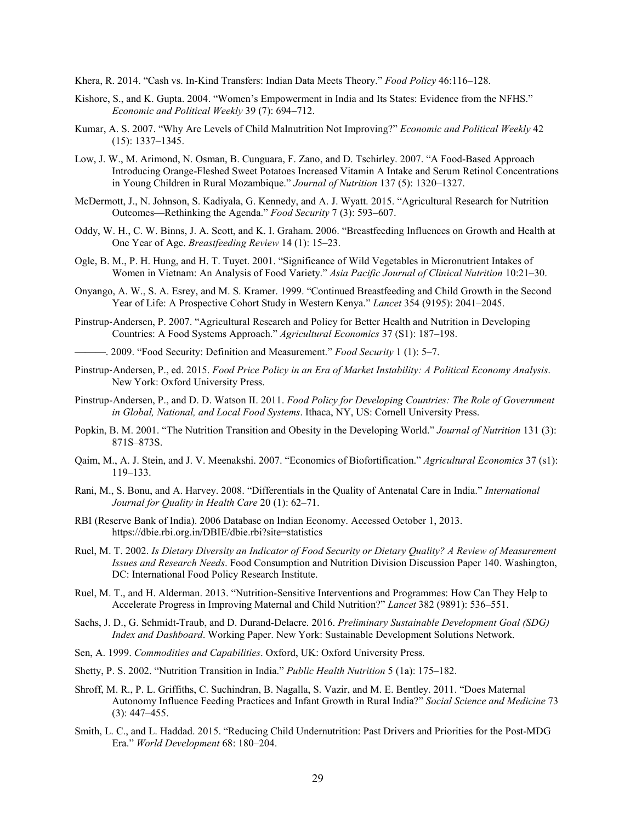Khera, R. 2014. "Cash vs. In-Kind Transfers: Indian Data Meets Theory." *Food Policy* 46:116–128.

- Kishore, S., and K. Gupta. 2004. "Women's Empowerment in India and Its States: Evidence from the NFHS." *Economic and Political Weekly* 39 (7): 694–712.
- Kumar, A. S. 2007. "Why Are Levels of Child Malnutrition Not Improving?" *Economic and Political Weekly* 42 (15): 1337–1345.
- Low, J. W., M. Arimond, N. Osman, B. Cunguara, F. Zano, and D. Tschirley. 2007. "A Food-Based Approach Introducing Orange-Fleshed Sweet Potatoes Increased Vitamin A Intake and Serum Retinol Concentrations in Young Children in Rural Mozambique." *Journal of Nutrition* 137 (5): 1320–1327.
- McDermott, J., N. Johnson, S. Kadiyala, G. Kennedy, and A. J. Wyatt. 2015. "Agricultural Research for Nutrition Outcomes—Rethinking the Agenda." *Food Security* 7 (3): 593–607.
- Oddy, W. H., C. W. Binns, J. A. Scott, and K. I. Graham. 2006. "Breastfeeding Influences on Growth and Health at One Year of Age. *Breastfeeding Review* 14 (1): 15–23.
- Ogle, B. M., P. H. Hung, and H. T. Tuyet. 2001. "Significance of Wild Vegetables in Micronutrient Intakes of Women in Vietnam: An Analysis of Food Variety." *Asia Pacific Journal of Clinical Nutrition* 10:21–30.
- Onyango, A. W., S. A. Esrey, and M. S. Kramer. 1999. "Continued Breastfeeding and Child Growth in the Second Year of Life: A Prospective Cohort Study in Western Kenya." *Lancet* 354 (9195): 2041–2045.
- Pinstrup‐Andersen, P. 2007. "Agricultural Research and Policy for Better Health and Nutrition in Developing Countries: A Food Systems Approach." *Agricultural Economics* 37 (S1): 187–198.
	- ———. 2009. "Food Security: Definition and Measurement." *Food Security* 1 (1): 5–7.
- Pinstrup‐Andersen, P., ed. 2015. *Food Price Policy in an Era of Market Instability: A Political Economy Analysis*. New York: Oxford University Press.
- Pinstrup-Andersen, P., and D. D. Watson II. 2011. *Food Policy for Developing Countries: The Role of Government in Global, National, and Local Food Systems*. Ithaca, NY, US: Cornell University Press.
- Popkin, B. M. 2001. "The Nutrition Transition and Obesity in the Developing World." *Journal of Nutrition* 131 (3): 871S–873S.
- Qaim, M., A. J. Stein, and J. V. Meenakshi. 2007. "Economics of Biofortification." *Agricultural Economics* 37 (s1): 119–133.
- Rani, M., S. Bonu, and A. Harvey. 2008. "Differentials in the Quality of Antenatal Care in India." *International Journal for Quality in Health Care* 20 (1): 62–71.
- RBI (Reserve Bank of India). 2006 Database on Indian Economy. Accessed October 1, 2013. https://dbie.rbi.org.in/DBIE/dbie.rbi?site=statistics
- Ruel, M. T. 2002. *Is Dietary Diversity an Indicator of Food Security or Dietary Quality? A Review of Measurement Issues and Research Needs*. Food Consumption and Nutrition Division Discussion Paper 140. Washington, DC: International Food Policy Research Institute.
- Ruel, M. T., and H. Alderman. 2013. "Nutrition-Sensitive Interventions and Programmes: How Can They Help to Accelerate Progress in Improving Maternal and Child Nutrition?" *Lancet* 382 (9891): 536–551.
- Sachs, J. D., G. Schmidt-Traub, and D. Durand-Delacre. 2016. *Preliminary Sustainable Development Goal (SDG) Index and Dashboard*. Working Paper. New York: Sustainable Development Solutions Network.
- Sen, A. 1999. *Commodities and Capabilities*. Oxford, UK: Oxford University Press.
- Shetty, P. S. 2002. "Nutrition Transition in India." *Public Health Nutrition* 5 (1a): 175–182.
- Shroff, M. R., P. L. Griffiths, C. Suchindran, B. Nagalla, S. Vazir, and M. E. Bentley. 2011. "Does Maternal Autonomy Influence Feeding Practices and Infant Growth in Rural India?" *Social Science and Medicine* 73 (3): 447–455.
- Smith, L. C., and L. Haddad. 2015. "Reducing Child Undernutrition: Past Drivers and Priorities for the Post-MDG Era." *World Development* 68: 180–204.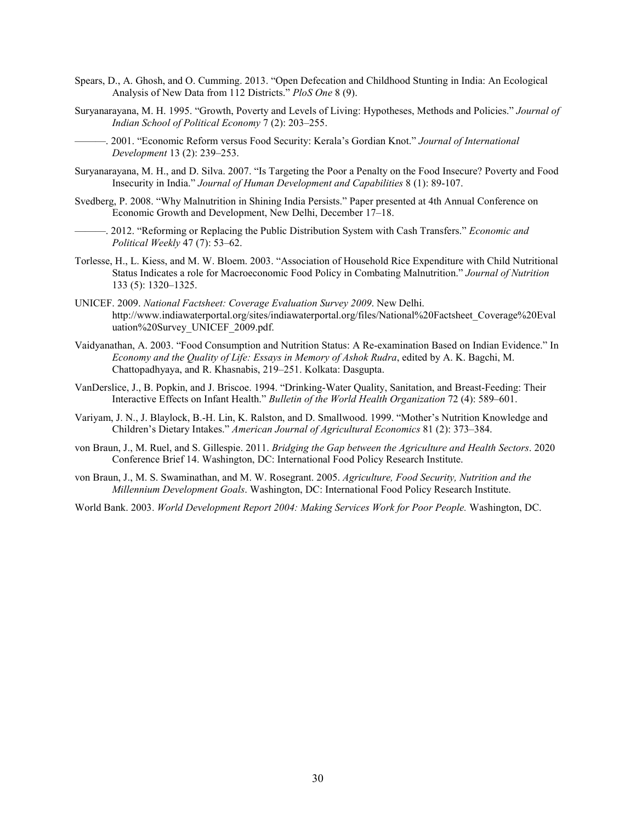- Spears, D., A. Ghosh, and O. Cumming. 2013. "Open Defecation and Childhood Stunting in India: An Ecological Analysis of New Data from 112 Districts." *PloS One* 8 (9).
- Suryanarayana, M. H. 1995. "Growth, Poverty and Levels of Living: Hypotheses, Methods and Policies." *Journal of Indian School of Political Economy* 7 (2): 203–255.
- ———. 2001. "Economic Reform versus Food Security: Kerala's Gordian Knot." *Journal of International Development* 13 (2): 239–253.
- Suryanarayana, M. H., and D. Silva. 2007. "Is Targeting the Poor a Penalty on the Food Insecure? Poverty and Food Insecurity in India." *Journal of Human Development and Capabilities* 8 (1): 89-107.
- Svedberg, P. 2008. "Why Malnutrition in Shining India Persists." Paper presented at 4th Annual Conference on Economic Growth and Development, New Delhi, December 17–18.
- ———. 2012. "Reforming or Replacing the Public Distribution System with Cash Transfers." *Economic and Political Weekly* 47 (7): 53–62.
- Torlesse, H., L. Kiess, and M. W. Bloem. 2003. "Association of Household Rice Expenditure with Child Nutritional Status Indicates a role for Macroeconomic Food Policy in Combating Malnutrition." *Journal of Nutrition* 133 (5): 1320–1325.
- UNICEF. 2009. *National Factsheet: Coverage Evaluation Survey 2009*. New Delhi. [http://www.indiawaterportal.org/sites/indiawaterportal.org/files/National%20Factsheet\\_Coverage%20Eval](http://www.indiawaterportal.org/sites/indiawaterportal.org/files/National%20Factsheet_Coverage%20Evaluation%20Survey_UNICEF_2009.pdf) [uation%20Survey\\_UNICEF\\_2009.pdf.](http://www.indiawaterportal.org/sites/indiawaterportal.org/files/National%20Factsheet_Coverage%20Evaluation%20Survey_UNICEF_2009.pdf)
- Vaidyanathan, A. 2003. "Food Consumption and Nutrition Status: A Re-examination Based on Indian Evidence." In *Economy and the Quality of Life: Essays in Memory of Ashok Rudra*, edited by A. K. Bagchi, M. Chattopadhyaya, and R. Khasnabis, 219–251. Kolkata: Dasgupta.
- VanDerslice, J., B. Popkin, and J. Briscoe. 1994. "Drinking-Water Quality, Sanitation, and Breast-Feeding: Their Interactive Effects on Infant Health." *Bulletin of the World Health Organization* 72 (4): 589–601.
- Variyam, J. N., J. Blaylock, B.-H. Lin, K. Ralston, and D. Smallwood. 1999. "Mother's Nutrition Knowledge and Children's Dietary Intakes." *American Journal of Agricultural Economics* 81 (2): 373–384.
- von Braun, J., M. Ruel, and S. Gillespie. 2011. *Bridging the Gap between the Agriculture and Health Sectors*. 2020 Conference Brief 14. Washington, DC: International Food Policy Research Institute.
- von Braun, J., M. S. Swaminathan, and M. W. Rosegrant. 2005. *Agriculture, Food Security, Nutrition and the Millennium Development Goals*. Washington, DC: International Food Policy Research Institute.
- World Bank. 2003. *World Development Report 2004: Making Services Work for Poor People.* Washington, DC.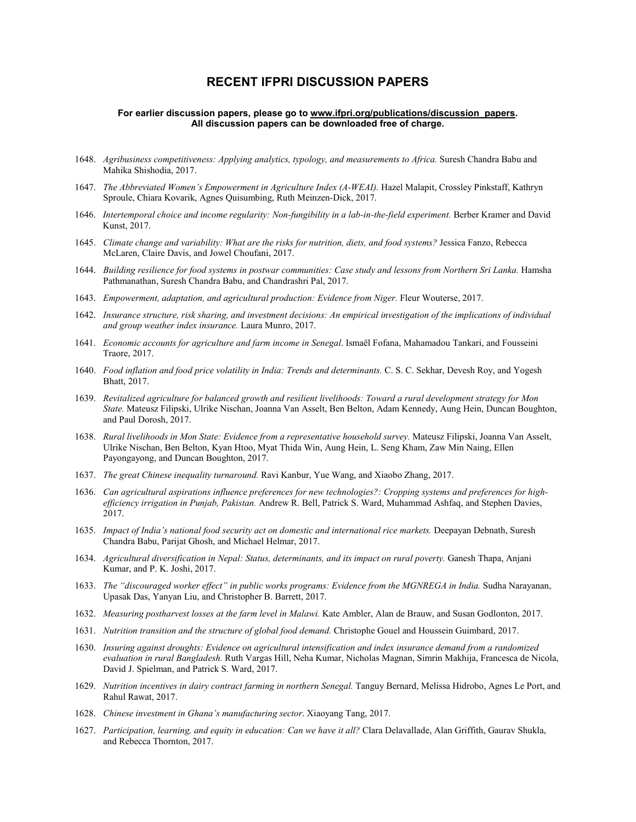## **RECENT IFPRI DISCUSSION PAPERS**

#### **For earlier discussion papers, please go to [www.ifpri.org/publications/discussion\\_papers.](http://www.ifpri.org/publications?sort_by=ds_year&f%5B0%5D=sm_content_subtype_to_terms%3A88) All discussion papers can be downloaded free of charge.**

- 1648. *Agribusiness competitiveness: Applying analytics, typology, and measurements to Africa.* Suresh Chandra Babu and Mahika Shishodia, 2017.
- 1647. *The Abbreviated Women's Empowerment in Agriculture Index (A-WEAI).* Hazel Malapit, Crossley Pinkstaff, Kathryn Sproule, Chiara Kovarik, Agnes Quisumbing, Ruth Meinzen-Dick, 2017.
- 1646. *Intertemporal choice and income regularity: Non-fungibility in a lab-in-the-field experiment.* Berber Kramer and David Kunst, 2017.
- 1645. *Climate change and variability: What are the risks for nutrition, diets, and food systems?* Jessica Fanzo, Rebecca McLaren, Claire Davis, and Jowel Choufani, 2017.
- 1644. *Building resilience for food systems in postwar communities: Case study and lessons from Northern Sri Lanka*. Hamsha Pathmanathan, Suresh Chandra Babu, and Chandrashri Pal, 2017.
- 1643. *Empowerment, adaptation, and agricultural production: Evidence from Niger.* Fleur Wouterse, 2017.
- 1642. *Insurance structure, risk sharing, and investment decisions: An empirical investigation of the implications of individual and group weather index insurance.* Laura Munro, 2017.
- 1641. *Economic accounts for agriculture and farm income in Senegal*. Ismaël Fofana, Mahamadou Tankari, and Fousseini Traore, 2017.
- 1640. *Food inflation and food price volatility in India: Trends and determinants.* C. S. C. Sekhar, Devesh Roy, and Yogesh Bhatt, 2017.
- 1639. *Revitalized agriculture for balanced growth and resilient livelihoods: Toward a rural development strategy for Mon State.* Mateusz Filipski, Ulrike Nischan, Joanna Van Asselt, Ben Belton, Adam Kennedy, Aung Hein, Duncan Boughton, and Paul Dorosh, 2017.
- 1638. *Rural livelihoods in Mon State: Evidence from a representative household survey.* Mateusz Filipski, Joanna Van Asselt, Ulrike Nischan, Ben Belton, Kyan Htoo, Myat Thida Win, Aung Hein, L. Seng Kham, Zaw Min Naing, Ellen Payongayong, and Duncan Boughton, 2017.
- 1637. *The great Chinese inequality turnaround.* Ravi Kanbur, Yue Wang, and Xiaobo Zhang, 2017.
- 1636. *Can agricultural aspirations influence preferences for new technologies?: Cropping systems and preferences for highefficiency irrigation in Punjab, Pakistan.* Andrew R. Bell, Patrick S. Ward, Muhammad Ashfaq, and Stephen Davies, 2017.
- 1635. *Impact of India's national food security act on domestic and international rice markets.* Deepayan Debnath, Suresh Chandra Babu, Parijat Ghosh, and Michael Helmar, 2017.
- 1634. *Agricultural diversification in Nepal: Status, determinants, and its impact on rural poverty.* Ganesh Thapa, Anjani Kumar, and P. K. Joshi, 2017.
- 1633. *The "discouraged worker effect" in public works programs: Evidence from the MGNREGA in India.* Sudha Narayanan, Upasak Das, Yanyan Liu, and Christopher B. Barrett, 2017.
- 1632. *Measuring postharvest losses at the farm level in Malawi.* Kate Ambler, Alan de Brauw, and Susan Godlonton, 2017.
- 1631. *Nutrition transition and the structure of global food demand.* Christophe Gouel and Houssein Guimbard, 2017.
- 1630. *Insuring against droughts: Evidence on agricultural intensification and index insurance demand from a randomized evaluation in rural Bangladesh.* Ruth Vargas Hill, Neha Kumar, Nicholas Magnan, Simrin Makhija, Francesca de Nicola, David J. Spielman, and Patrick S. Ward, 2017.
- 1629. *Nutrition incentives in dairy contract farming in northern Senegal.* Tanguy Bernard, Melissa Hidrobo, Agnes Le Port, and Rahul Rawat, 2017.
- 1628. *Chinese investment in Ghana's manufacturing sector*. Xiaoyang Tang, 2017.
- 1627. *Participation, learning, and equity in education: Can we have it all?* Clara Delavallade, Alan Griffith, Gaurav Shukla, and Rebecca Thornton, 2017.